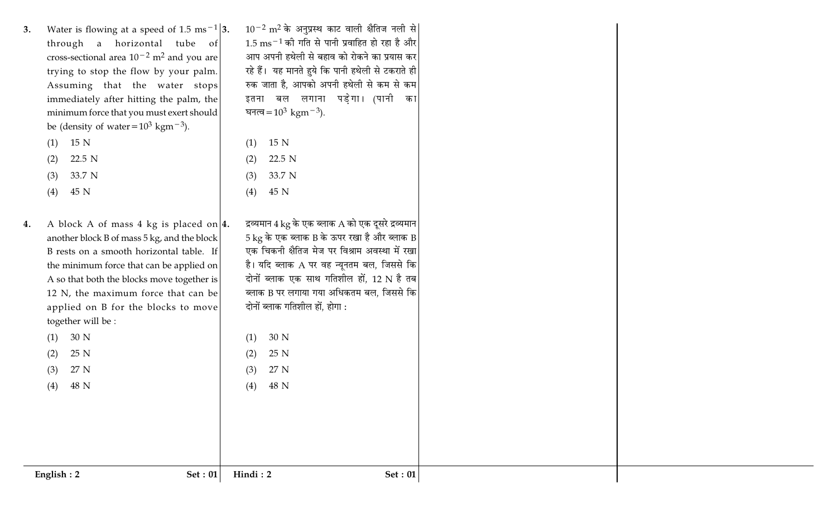Water is flowing at a speed of 1.5 ms<sup>-1</sup>|3.  $3.$ through a horizontal tube of cross-sectional area  $10^{-2}$  m<sup>2</sup> and you are trying to stop the flow by your palm. Assuming that the water stops immediately after hitting the palm, the minimum force that you must exert should be (density of water =  $10^3$  kgm<sup>-3</sup>).  $(1)$  15 N

| ( L )  | 10. IN |  |
|--------|--------|--|
| $\sim$ | --     |  |

- 22.5 N  $(2)$
- 33.7 N  $(3)$
- 45 N  $(4)$

30 N

25 N

27 N

48 N

 $(1)$ 

 $(2)$ 

 $(3)$ 

 $(4)$ 

A block A of mass 4 kg is placed on  $|4$ . 4. another block B of mass 5 kg, and the block B rests on a smooth horizontal table. If the minimum force that can be applied on A so that both the blocks move together is 12 N, the maximum force that can be applied on B for the blocks to move together will be :

 $10^{-2}$  m<sup>2</sup> के अनुप्रस्थ काट वाली क्षैतिज नली से  $1.5~{\rm ms}^{-1}$  की गति से पानी प्रवाहित हो रहा है और आप अपनी हथेली से बहाव को रोकने का प्रयास कर रहे हैं। यह मानते हुये कि पानी हथेली से टकराते ही रुक जाता है. आपको अपनी हथेली से कम से कम इतना बल लगाना पडेगा। (पानी का घनत्व =  $10^3$  kgm<sup>-3</sup>).

- 15 N  $(1)$ 22.5 N  $(2)$
- 33.7 N  $(3)$ 45 N  $(4)$
- द्रव्यमान  $4 \text{ kg}$  के एक ब्लाक A को एक दूसरे द्रव्यमान  $5\,\mathrm{kg}$  के एक ब्लाक B के ऊपर रखा है और ब्लाक B एक चिकनी क्षैतिज मेज पर विश्राम अवस्था में रखा है। यदि ब्लाक A पर वह न्यूनतम बल, जिससे कि दोनों ब्लाक एक साथ गतिशील हों, 12 N है तब ब्लाक B पर लगाया गया अधिकतम बल, जिससे कि दोनों ब्लाक गतिशील हों, होगा :
	- 30 N  $(1)$
- 25 N  $(2)$
- 27 N  $(3)$  $(4)$ 48 N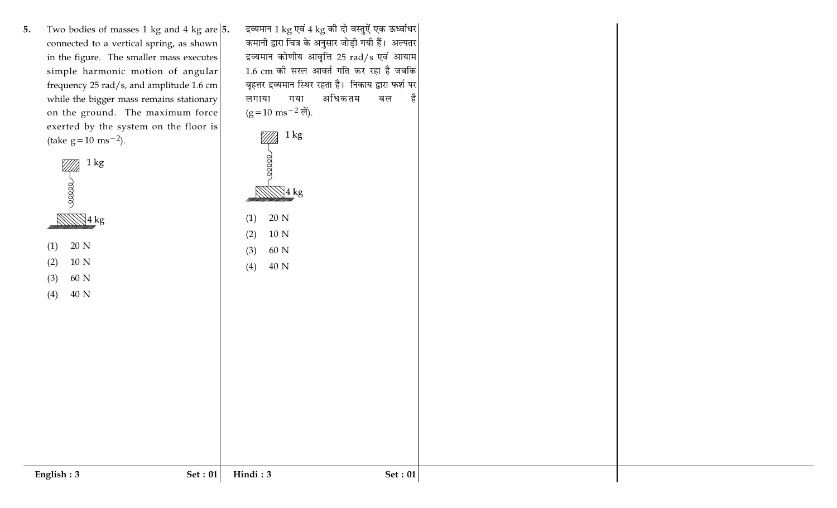Two bodies of masses 1 kg and 4 kg are  $|5$ .  $5.$ connected to a vertical spring, as shown in the figure. The smaller mass executes simple harmonic motion of angular frequency 25 rad/s, and amplitude 1.6 cm while the bigger mass remains stationary on the ground. The maximum force exerted by the system on the floor is (take  $g = 10$  ms<sup>-2</sup>).

|     | 1 kg            |  |
|-----|-----------------|--|
|     | 4 kg            |  |
| (1) | 20 N            |  |
| (2) | 10 <sub>N</sub> |  |
| (3) | 60 N            |  |
| (4) | 40 N            |  |
|     |                 |  |

द्रव्यमान 1 kg एवं 4 kg की दो वस्तुऐं एक ऊर्ध्वाधर कमानी द्वारा चित्र के अनुसार जोड़ी गयी हैं। अल्पतर द्रव्यमान कोणीय आवृत्ति 25 rad/s एवं आयाम 1.6 cm की सरल आवर्त गति कर रहा है जबकि बृहत्तर द्रव्यमान स्थिर रहता है। निकाय द्वारा फर्श पर गया अधिकतम लगाया बल  $(g=10 \text{ ms}^{-2} \text{ m}^2)$ .

 $1 \text{ kg}$ 7*777*)  $00000$  $\mathbb{N}$ 4 kg 20 N  $(1)$  $(2)$  $10\ \mathrm{N}$ 60 N  $(3)$  $40\ {\rm N}$  $(4)$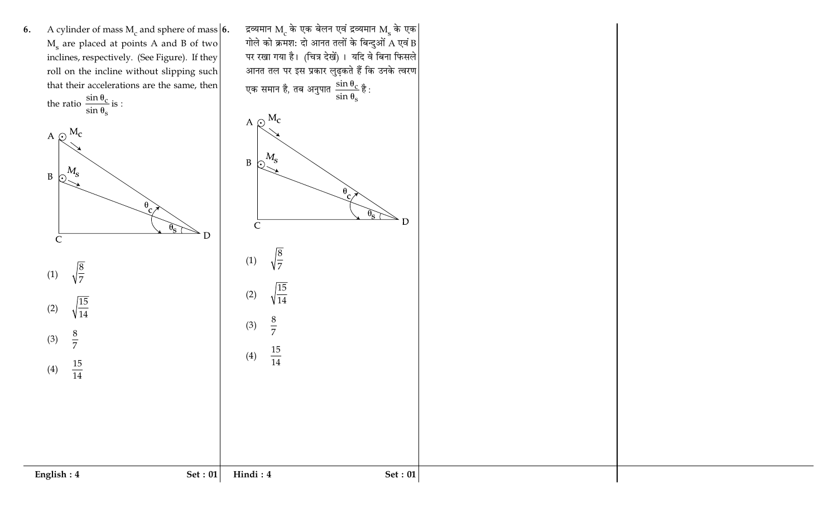A cylinder of mass  $M_c$  and sphere of mass 6. 6. M<sub>s</sub> are placed at points A and B of two inclines, respectively. (See Figure). If they roll on the incline without slipping such that their accelerations are the same, then the ratio  $\frac{\sin \theta_c}{\sin \theta_s}$  is :





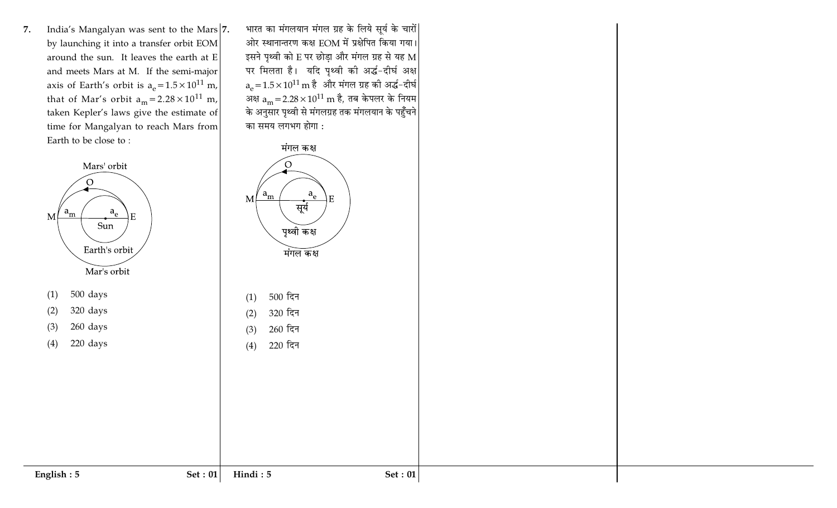India's Mangalyan was sent to the Mars 7. 7. by launching it into a transfer orbit EOM around the sun. It leaves the earth at E and meets Mars at M. If the semi-major axis of Earth's orbit is  $a_e = 1.5 \times 10^{11}$  m, that of Mar's orbit  $a_m = 2.28 \times 10^{11}$  m, taken Kepler's laws give the estimate of time for Mangalyan to reach Mars from Earth to be close to:



English:  $5$ 

भारत का मंगलयान मंगल ग्रह के लिये सूर्य के चारों ओर स्थानान्तरण कक्ष EOM में प्रक्षेपित किया गया। इसने पृथ्वी को E पर छोड़ा और मंगल ग्रह से यह M पर मिलता है। यदि पृथ्वी की अर्द्ध-दीर्घ अक्ष  $a_e = 1.5 \times 10^{11} \text{ m}$  है और मंगल ग्रह की अर्द्ध-दीर्घ अक्ष  $a_m = 2.28 \times 10^{11}$  m है, तब केपलर के नियम के अनुसार पृथ्वी से मंगलग्रह तक मंगलयान के पहुँचने का समय लगभग होगा :



Set: 01

 $(4)$ 

Hindi: 5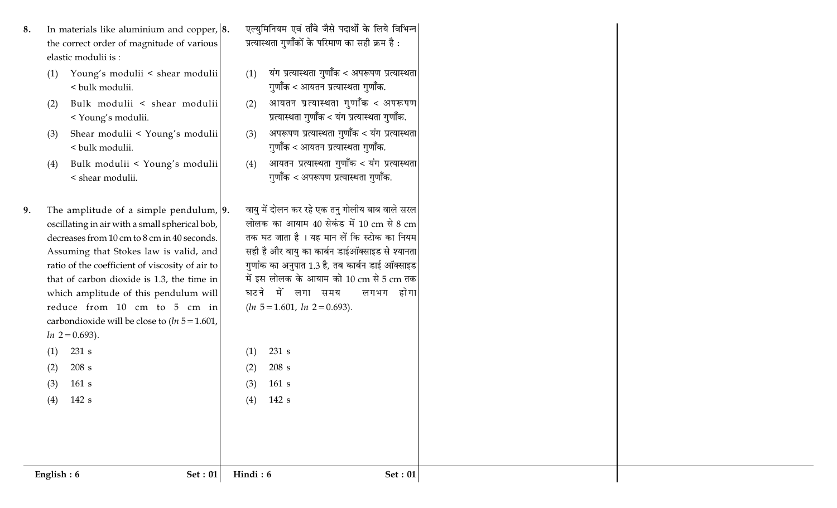- In materials like aluminium and copper,  $|8$ . 8. the correct order of magnitude of various elastic modulii is:
	- Young's modulii < shear modulii  $(1)$ < bulk modulii.
	- Bulk modulii < shear modulii  $(2)$ < Young's modulii.
	- Shear modulii < Young's modulii  $(3)$ < bulk modulii.
	- Bulk modulii < Young's modulii  $(4)$ < shear modulii.
- The amplitude of a simple pendulum,  $|9$ . 9. oscillating in air with a small spherical bob, decreases from 10 cm to 8 cm in 40 seconds. Assuming that Stokes law is valid, and ratio of the coefficient of viscosity of air to that of carbon dioxide is 1.3, the time in which amplitude of this pendulum will reduce from 10 cm to 5 cm in carbondioxide will be close to  $(ln 5 = 1.601,$  $ln 2 = 0.693$ .

एल्युमिनियम एवं ताँबे जैसे पदार्थों के लिये विभिन्न प्रत्यास्थता गुणॉॅंकों के परिमाण का सही क्रम है :

- यंग प्रत्यास्थता गुणाँक < अपरूपण प्रत्यास्थता  $(1)$ गुणॉॅंक < आयतन प्रत्यास्थता गुणॉॅंक.
- आयतन प्रत्यास्थता गुणॉॅंक < अपरूपण  $(2)$ प्रत्यास्थता गुणॉॅंक < यंग प्रत्यास्थता गुणॉॅंक.
- अपरूपण प्रत्यास्थता गुणॉॅंक < यंग प्रत्यास्थता  $(3)$ गणॉॅंक < आयतन प्रत्यास्थता गणॉॅंक.
- आयतन प्रत्यास्थता गुणॉॅंक < यंग प्रत्यास्थता  $(4)$ गुणॉॅंक < अपरूपण प्रत्यास्थता गुणॉॅंक.
- वायु में दोलन कर रहे एक तनु गोलीय बाब वाले सरल लोलक का आयाम 40 सेकंड में 10 cm से 8 cm तक घट जाता है । यह मान लें कि स्टोक का नियम सही है और वायु का कार्बन डाईऑक्साइड से श्यानता गुणांक का अनुपात 1.3 है, तब कार्बन डाई ऑक्साइड में इस लोलक के आयाम को 10 cm से 5 cm तक घटने में लगा समय लगभग होगा  $(ln 5 = 1.601, ln 2 = 0.693).$

231 s

208 s

 $161 s$ 

142 s

 $(1)$ 

 $(2)$ 

 $(3)$ 

 $(4)$ 

 $231 s$ 

208 s

 $161 s$ 

 $142s$ 

 $(1)$ 

 $(2)$ 

 $(3)$ 

 $(4)$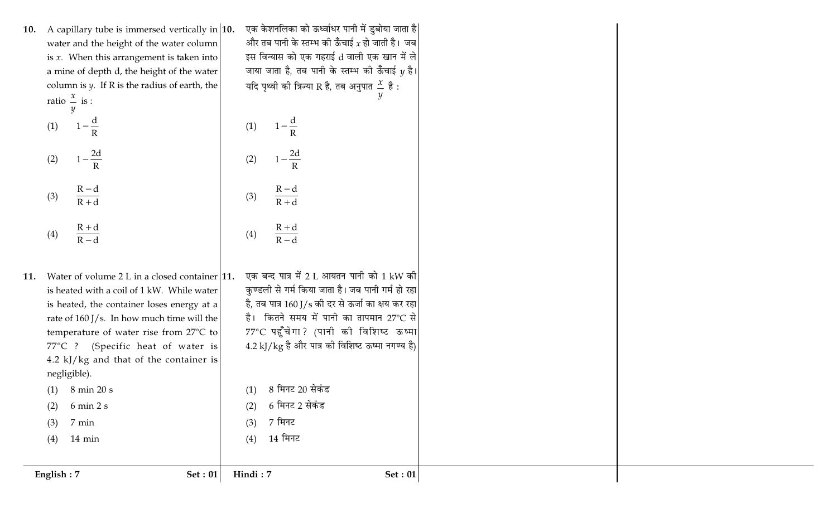- 10. A capillary tube is immersed vertically in  $|10$ . water and the height of the water column is  $x$ . When this arrangement is taken into a mine of depth d, the height of the water column is  $\psi$ . If R is the radius of earth, the ratio  $\frac{x}{-}$  is :
	- $\left(1-\frac{2d}{R}\right)$  $(2)$  $\left(\frac{R-d}{R+d}\right)$  $(3)$  $\left(\frac{R+d}{R-d}\right)$  $(4)$

 $\left(1-\frac{d}{R}\right)$ 

 $(1)$ 

- 11. Water of volume 2 L in a closed container  $|11$ . is heated with a coil of 1 kW. While water is heated, the container loses energy at a rate of 160 J/s. In how much time will the temperature of water rise from 27°C to 77°C ? (Specific heat of water is 4.2  $k$ ]/ $kg$  and that of the container is negligible).
- एक केशनलिका को ऊर्ध्वाधर पानी में डुबोया जाता है| और तब पानी के स्तम्भ की ऊँचाई  $\chi$  हो जाती है। जब इस विन्यास को एक गहराई d वाली एक खान में ले जाया जाता है, तब पानी के स्तम्भ की ऊँचाई 11 है। यदि पृथ्वी की त्रिज्या R है, तब अनुपात  $\frac{x}{x}$  है :  $\left(1-\frac{d}{R}\right)$  $(1)$  $\left(1-\frac{2d}{R}\right)$  $(2)$  $\left(\frac{R-d}{R+d}\right)$  $(3)$  $\left(\frac{R+d}{R-d}\right)$  $(4)$ एक बन्द पात्र में 2 L आयतन पानी को 1 kW की
- कुण्डली से गर्म किया जाता है। जब पानी गर्म हो रहा है, तब पात्र 160 J/s की दर से ऊर्जा का क्षय कर रहा है। कितने समय में पानी का तापमान 27°C से 77°C पहुँचेगा? (पानी की विशिष्ट ऊष्मा  $4.2$  kJ/kg है और पात्र की विशिष्ट ऊष्मा नगण्य है)

8 मिनट 20 सेकंड

6 मिनट 2 सेकंड

7 मिनट

14 मिनट

 $(1)$ 

 $(2)$ 

 $(3)$ 

 $(4)$ 

- 8 min 20 s  $(1)$
- $6 \text{ min } 2 \text{ s}$  $(2)$
- 7 min  $(3)$
- $(4)$  $14 \text{ min}$

English: 7

**Set: 01** Hindi: 7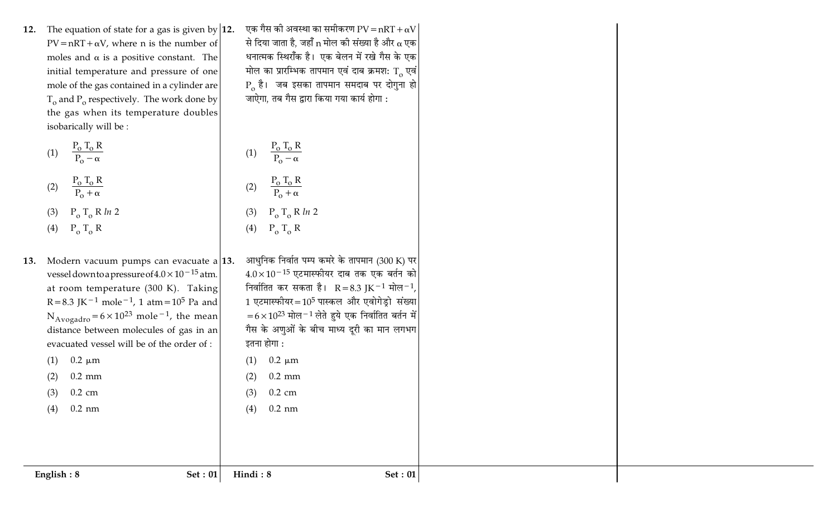12. The equation of state for a gas is given by  $|12$ .  $PV = nRT + \alpha V$ , where n is the number of moles and  $\alpha$  is a positive constant. The initial temperature and pressure of one mole of the gas contained in a cylinder are  $T_{o}$  and  $P_{o}$  respectively. The work done by the gas when its temperature doubles isobarically will be :

(1) 
$$
\frac{P_o T_o R}{P_o - \alpha}
$$
 (1)  
 $\frac{P_o T_o R}{P_o}$  (2)

(2) 
$$
\frac{1}{P_0 + \alpha}
$$
  
(3)  $P_0 T_0 R ln 2$ 

(4) 
$$
P_0 T_0 R
$$

13. Modern vacuum pumps can evacuate a vessel down to a pressure of  $4.0 \times 10^{-15}$  atm. at room temperature (300 K). Taking  $R = 8.3$  JK<sup>-1</sup> mole<sup>-1</sup>, 1 atm = 10<sup>5</sup> Pa and  $N_{Avogadro} = 6 \times 10^{23}$  mole<sup>-1</sup>, the mean distance between molecules of gas in an evacuated vessel will be of the order of :  $0.2 \mu m$  $(1)$  $0.2$  mm  $(2)$ 

> $0.2 \text{ cm}$  $(3)$

 $(4)$  $0.2$  nm  $(\mathbf{F})$  $\circ$ <sup>1</sup> $\circ$ 

धनात्मक स्थिराँक है। एक बेलन में रखे गैस के एक मोल का प्रारम्भिक तापमान एवं दाब क्रमश: T एवं  $P_{o}$  है। जब इसका तापमान समदाब पर दोगुना हो जाऐगा, तब गैस द्वारा किया गया कार्य होगा :

एक गैस की अवस्था का समीकरण PV = nRT +  $\alpha \mathrm{V} |$ 

से दिया जाता है, जहाँ n मोल की संख्या है और  $\alpha$  एक

(1) 
$$
\frac{P_o T_o R}{P_o - \alpha}
$$
  
\n(2)  $\frac{P_o T_o R}{P_o + \alpha}$   
\n(3)  $P_o T_o R ln 2$   
\n(4) P T R

13. आधुनिक निर्वात पम्प कमरे के तापमान (300 K) पर  
\n
$$
4.0 \times 10^{-15}
$$
 एटमास्फीयर दाब तक एक बर्तन को  
निर्वातित कर सकता है। R=8.3 JK<sup>-1</sup> मोल<sup>-1</sup>,  
\n1 एटमास्फीयर=10<sup>5</sup> पास्कल और एवोगेड्रो संख्या  
\n=6×10<sup>23</sup> मोल<sup>-1</sup> लेते हुये एक निर्वातित बर्तन में  
\गैस के अणुओं के बीच माध्य दूरी का मान लगभग  
\�तना होगा :

$$
(1) \quad 0.2 \text{ }\mu\text{m}
$$
\n
$$
(2) \quad 0.2 \text{ }\text{mm}
$$

 $(3)$ 

 $(4)$ 

Hindi: 8

**Set: 01** 

 $0.2 \text{ cm}$ 

 $0.2$  nm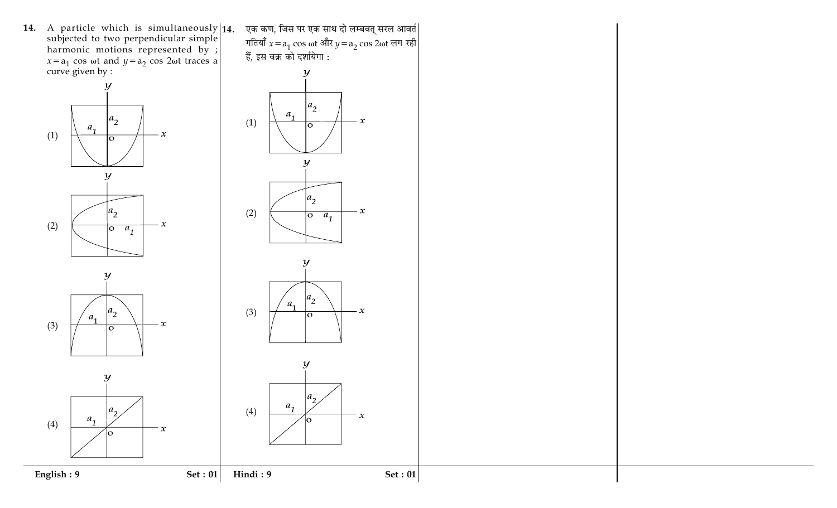**14.** A particle which is simultaneously  $\begin{bmatrix} 14. \\ 14. \end{bmatrix}$  subjected to two perpendicular simple harmonic motions represented by ;<br>  $x=a_1 \cos \omega t$  and  $y=a_2 \cos 2\omega t$  traces a curve given by :





एक कण, जिस पर एक साथ दो लम्बवत् सरल आवर्त| गतियाँ  $x = a_1 \cos \omega t$  और  $y = a_2 \cos 2\omega t$  लग रही हैं, इस वक्र को दर्शायेगा :









Set:  $01$ 

Hindi: 9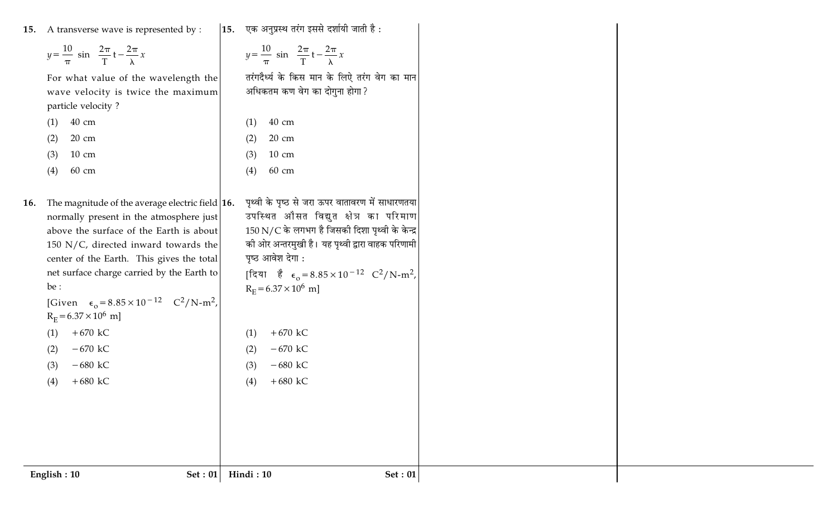15. A transverse wave is represented by :

For what value of the wavelength the

wave velocity is twice the maximum

 $y = \frac{10}{\pi} \sin \left( \frac{2\pi}{T} t - \frac{2\pi}{\lambda} x \right)$ 

## 15. एक अनुप्रस्थ तरंग इससे दर्शायी जाती है:

$$
y = \frac{10}{\pi} \sin\left(\frac{2\pi}{T}t - \frac{2\pi}{\lambda}x\right)
$$

 $+670$  kC

 $-670$  kC

 $-680$  kC

 $+680$  kC

 $(1)$ 

 $(2)$ 

 $(3)$ 

 $(4)$ 

तरंगदैर्ध्य के किस मान के लिऐ तरंग वेग का मान अधिकतम कण वेग का दोगुना होगा?

| (1) | 40 cm |
|-----|-------|
|     |       |

particle velocity?

20 cm  $(2)$ 

10 cm  $(3)$ 

60 cm  $(4)$ 

16. The magnitude of the average electric field  $|16$ . normally present in the atmosphere just above the surface of the Earth is about 150 N/C, directed inward towards the center of the Earth. This gives the total net surface charge carried by the Earth to be :

```
[Given \epsilon_0 = 8.85 \times 10^{-12} C<sup>2</sup>/N-m<sup>2</sup>,
R_F = 6.37 \times 10^6 m]
        +670 kC
(1)(2)
```
 $-670$  kC  $-680$  kC

 $+680$  kC  $(4)$ 

| (1) | $40 \text{ cm}$                                                         |  |
|-----|-------------------------------------------------------------------------|--|
|     | $(2)$ 20 cm                                                             |  |
|     | $(3)$ 10 cm                                                             |  |
| (4) | 60 cm                                                                   |  |
|     |                                                                         |  |
|     | पृथ्वी के पृष्ठ से जरा ऊपर वातावरण में साधारणतया                        |  |
|     | उपस्थित औसत विद्युत क्षेत्र का परिमाण                                   |  |
|     | 150 N/C के लगभग है जिसकी दिशा पृथ्वी के केन्द्र                         |  |
|     | की ओर अन्तरमुखी है। यह पृथ्वी द्वारा वाहक परिणामी                       |  |
|     | पृष्ठ आवेश देगा :                                                       |  |
|     | [दिया है $\epsilon_0 = 8.85 \times 10^{-12} \text{ C}^2/\text{N-m}^2$ , |  |
|     | $R_E = 6.37 \times 10^6$ m]                                             |  |

 $(3)$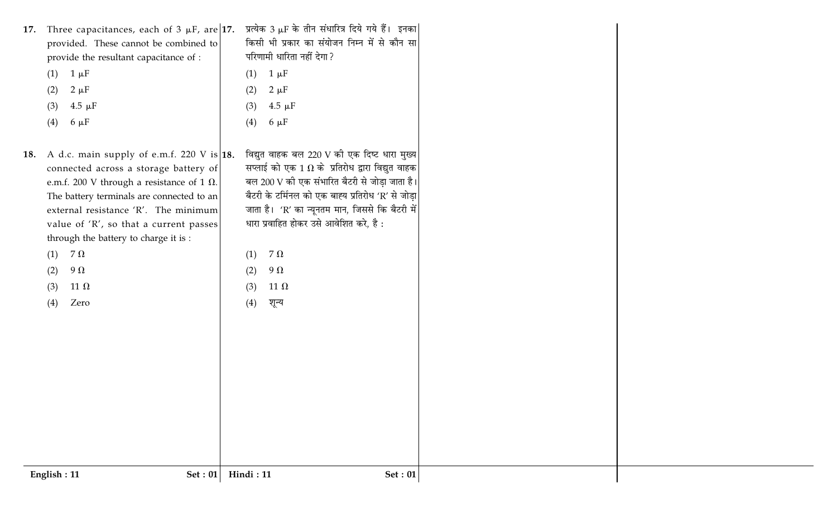| 17. Three capacitances, each of $3 \mu$ F, are 17.<br>provided. These cannot be combined to<br>provide the resultant capacitance of :<br>$1 \mu F$<br>(1)<br>$2 \mu F$<br>(2)<br>$4.5 \mu F$<br>(3)<br>$6 \mu F$<br>(4)                                                                                                                                                                                  | प्रत्येक 3 µF के तीन संधारित्र दिये गये हैं।  इनका<br>किसी भी प्रकार का संयोजन निम्न में से कौन सा<br>परिणामी धारिता नहीं देगा ?<br>$1 \mu F$<br>(1)<br>$2 \mu F$<br>(2)<br>$4.5 \mu F$<br>(3)<br>$6 \mu F$<br>(4)                                                                                                                                                                            |  |
|----------------------------------------------------------------------------------------------------------------------------------------------------------------------------------------------------------------------------------------------------------------------------------------------------------------------------------------------------------------------------------------------------------|-----------------------------------------------------------------------------------------------------------------------------------------------------------------------------------------------------------------------------------------------------------------------------------------------------------------------------------------------------------------------------------------------|--|
| A d.c. main supply of e.m.f. 220 V is $ 18$ .<br>18.<br>connected across a storage battery of<br>e.m.f. 200 V through a resistance of 1 $\Omega$ .<br>The battery terminals are connected to an<br>external resistance 'R'. The minimum<br>value of 'R', so that a current passes<br>through the battery to charge it is :<br>7 $\Omega$<br>(1)<br>$9\Omega$<br>(2)<br>11 $\Omega$<br>(3)<br>Zero<br>(4) | विद्युत वाहक बल 220 V की एक दिष्ट धारा मुख्य<br>सप्लाई को एक 1 $\Omega$ के प्रतिरोध द्वारा विद्युत वाहक<br>बल 200 V की एक संभारित बैटरी से जोड़ा जाता है।<br>बैटरी के टर्मिनल को एक बाह्य प्रतिरोध 'R' से जोड़ा<br>जाता है। 'R' का न्यूनतम मान, जिससे कि बैटरी में<br>धारा प्रवाहित होकर उसे आवेशित करे, है :<br>7 $\Omega$<br>(1)<br>9 $\Omega$<br>(2)<br>11 $\Omega$<br>(3)<br>(4)<br>शून्य |  |
| English: 11<br><b>Set: 01</b>                                                                                                                                                                                                                                                                                                                                                                            | <b>Set: 01</b><br>Hindi: 11                                                                                                                                                                                                                                                                                                                                                                   |  |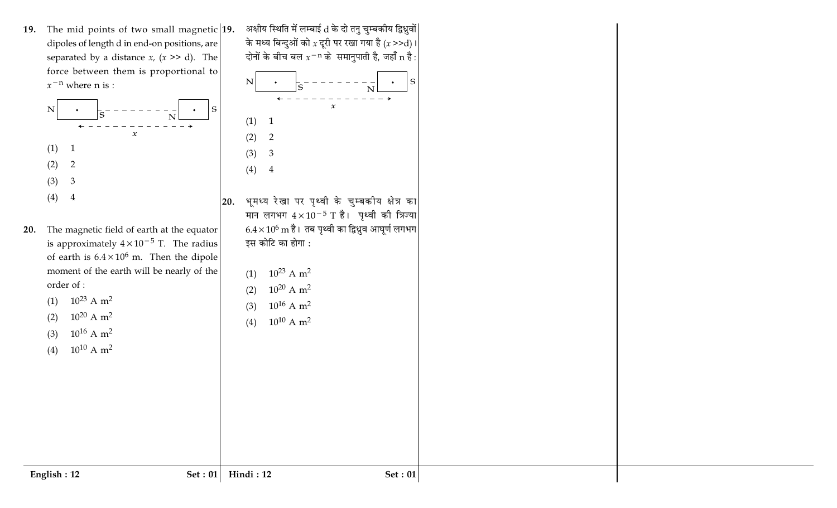19. The mid points of two small magnetic  $|19$ . dipoles of length d in end-on positions, are separated by a distance  $x$ ,  $(x \gt\gt d)$ . The force between them is proportional to  $x^{-n}$  where n is :



20. The magnetic field of earth at the equator is approximately  $4 \times 10^{-5}$  T. The radius of earth is  $6.4 \times 10^6$  m. Then the dipole moment of the earth will be nearly of the order of :

(1)  $10^{23}$  A m<sup>2</sup>

 $(2)$ 

 $(3)$ 

 $(4)$ 

 $10^{20}$  A m<sup>2</sup>

 $10^{16}$  A m<sup>2</sup>

 $10^{10}$  A m<sup>2</sup>

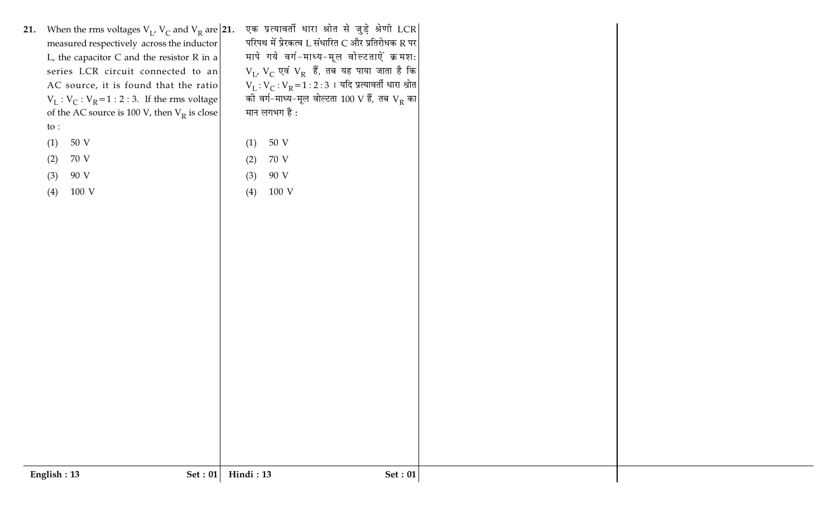| 21. When the rms voltages $V_L$ , $V_C$ and $V_R$ are 21.<br>measured respectively across the inductor<br>L, the capacitor $C$ and the resistor $R$ in a<br>series LCR circuit connected to an<br>AC source, it is found that the ratio<br>$V_L : V_C : V_R = 1 : 2 : 3$ . If the rms voltage<br>of the AC source is 100 V, then $V_R$ is close<br>to :<br>50 V<br>(1) | एक प्रत्यावर्ती धारा श्रोत से जुड़े श्रेणी LCR<br>परिपथ में प्रेरकत्व L संधारित C और प्रतिरोधक R पर<br>मापे गये वर्ग-माध्य-मूल वोल्टताऐं क्रमश:<br>$V_L$ , $V_C$ एवं $V_R$ हैं, तब यह पाया जाता है कि<br>$V_L : V_C : V_R = 1 : 2 : 3 + 4$ दि प्रत्यावर्ती धारा श्रोत<br>की वर्ग-माध्य-मूल वोल्टता 100 V हैं, तब $\rm V_R$ का $\rm  $<br>मान लगभग है :<br>50 V<br>(1) |  |
|------------------------------------------------------------------------------------------------------------------------------------------------------------------------------------------------------------------------------------------------------------------------------------------------------------------------------------------------------------------------|-----------------------------------------------------------------------------------------------------------------------------------------------------------------------------------------------------------------------------------------------------------------------------------------------------------------------------------------------------------------------|--|
| 70 V<br>(2)                                                                                                                                                                                                                                                                                                                                                            | 70 V<br>(2)                                                                                                                                                                                                                                                                                                                                                           |  |
| 90 V<br>(3)                                                                                                                                                                                                                                                                                                                                                            | 90 V<br>(3)                                                                                                                                                                                                                                                                                                                                                           |  |
| (4)<br>100 V                                                                                                                                                                                                                                                                                                                                                           | 100 V<br>(4)                                                                                                                                                                                                                                                                                                                                                          |  |
|                                                                                                                                                                                                                                                                                                                                                                        |                                                                                                                                                                                                                                                                                                                                                                       |  |
|                                                                                                                                                                                                                                                                                                                                                                        |                                                                                                                                                                                                                                                                                                                                                                       |  |
| English: 13<br>Set: $01$                                                                                                                                                                                                                                                                                                                                               | Hindi: 13<br>Set: $01$                                                                                                                                                                                                                                                                                                                                                |  |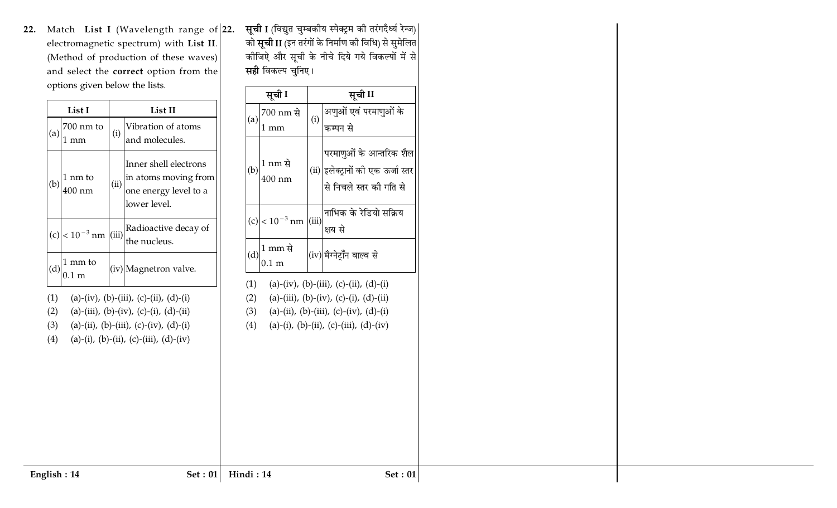22. Match List I (Wavelength range of  $|22$ . electromagnetic spectrum) with List II. (Method of production of these waves) and select the correct option from the options given below the lists.

|                   | List I                        |      | List II                                                                                                                                                                  |
|-------------------|-------------------------------|------|--------------------------------------------------------------------------------------------------------------------------------------------------------------------------|
| (a)               | 700 nm to<br>1 mm             | (i)  | Vibration of atoms<br>and molecules.                                                                                                                                     |
| (b)               | 1 nm to<br>400 nm             | (ii) | Inner shell electrons<br>in atoms moving from<br>one energy level to a<br>lower level.                                                                                   |
|                   | (c) $ < 10^{-3}$ nm $ $ (iii) |      | Radioactive decay of<br>the nucleus.                                                                                                                                     |
| (d)               | 1 mm to<br>0.1 m              |      | (iv) Magnetron valve.                                                                                                                                                    |
| (1)<br>(2)<br>(4) |                               |      | (a)-(iv), (b)-(iii), (c)-(ii), (d)-(i)<br>(a)-(iii), (b)-(iv), (c)-(i), (d)-(ii)<br>(3) (a)-(ii), (b)-(iii), (c)-(iv), (d)-(i)<br>(a)-(i), (b)-(ii), (c)-(iii), (d)-(iv) |

**सूची I** (विद्युत चुम्बकीय स्पेक्ट्रम की तरंगदैर्ध्य रेन्ज)| को **सूची II** (इन तरंगों के निर्माण की विधि) से सुमेलित कीजिएे और सूची के नीचे दिये गये विकल्पों में से **सही** विकल्प चुनिए।

|            | सूची I                      |       | सूची II                                                                                                                                                                      |
|------------|-----------------------------|-------|------------------------------------------------------------------------------------------------------------------------------------------------------------------------------|
| (a)        | 700 nm से                   | (i)   | अणुओं एवं परमाणुओं के                                                                                                                                                        |
|            | $1 \text{ mm}$              |       | कम्पन से                                                                                                                                                                     |
|            | 1 nm से<br>400 nm           |       | परमाणुओं के आन्तरिक शैल<br>(ii) <mark>इलेक्ट्रानों की एक ऊर्जा स्तर</mark><br>.<br>से निचले स्तर की गति से                                                                   |
|            | $(c)$ < 10 <sup>-3</sup> nm | (iii) | नाभिक के रेडियो सक्रिय<br>क्षय से                                                                                                                                            |
| (d)        | 1 mm से<br>$0.1 \text{ m}$  |       | (iv) मैग्नेट्रॉॅंन वाल्व से                                                                                                                                                  |
| (1)<br>(2) |                             |       | (a)-(iv), (b)-(iii), (c)-(ii), (d)-(i)<br>(a)-(iii), (b)-(iv), (c)-(i), (d)-(ii)<br>(3) (a)-(ii), (b)-(iii), (c)-(iv), (d)-(i)<br>(4) (a)-(i), (b)-(ii), (c)-(iii), (d)-(iv) |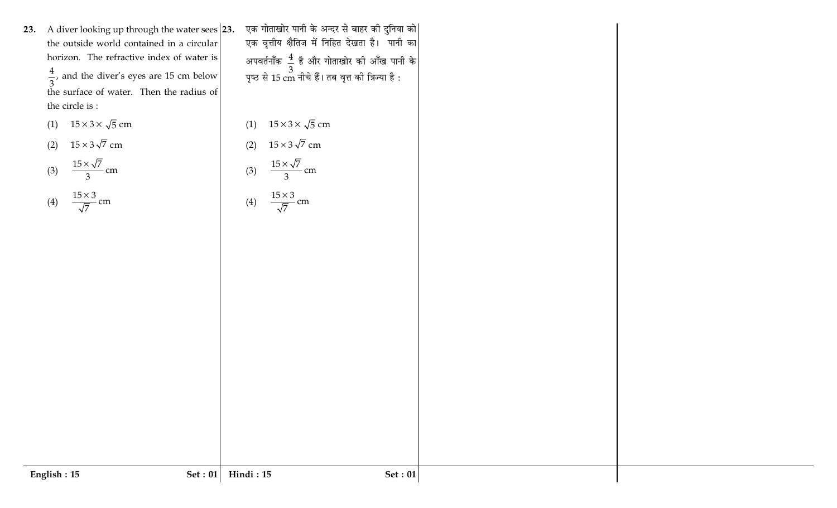23. A diver looking up through the water sees  $|23$ . the outside world contained in a circular horizon. The refractive index of water is  $\frac{4}{3}$ , and the diver's eyes are 15 cm below the surface of water. Then the radius of the circle is :

$$
(1) \quad 15 \times 3 \times \sqrt{5} \text{ cm}
$$

$$
(2) \quad 15 \times 3\sqrt{7} \text{ cm}
$$

$$
(3) \quad \frac{15 \times \sqrt{7}}{3} \text{ cm}
$$

$$
(4) \quad \frac{15 \times 3}{\sqrt{7}} \text{ cm}
$$

एक गोताखोर पानी के अन्दर से बाहर की दुनिया को| एक वृत्तीय क्षैतिज में निहित देखता है। पानी का अपवर्तनॉंक $\left| \frac{4}{3} \right|$  है और गोताखोर की आँख पानी के<br>पृष्ठ से 15 cm नीचे हैं। तब वृत्त की त्रिज्या है :

(1)  $15 \times 3 \times \sqrt{5}$  cm

(2) 
$$
15 \times 3\sqrt{7}
$$
 cm  
(3)  $\frac{15 \times \sqrt{7}}{2}$  cm

 $\overline{3}$ 

- cm

$$
(4) \quad \frac{15 \times 3}{\sqrt{7}} \text{ cm}
$$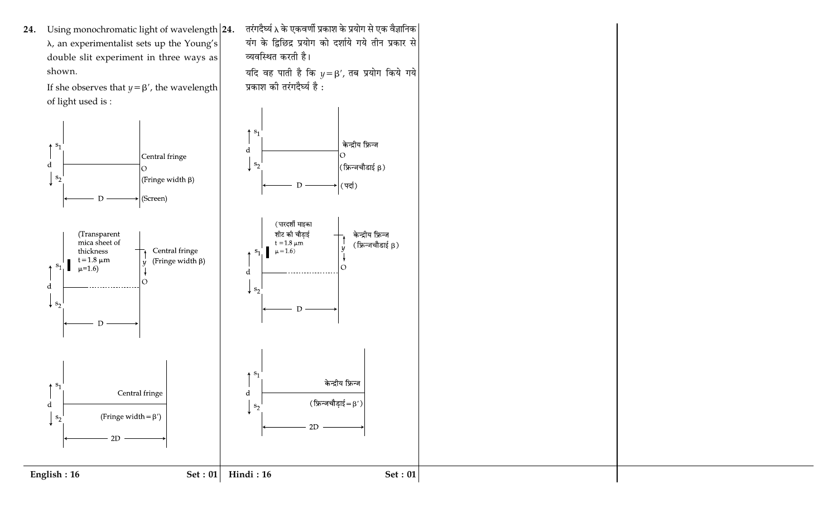24. Using monochromatic light of wavelength 24.  $\lambda$ , an experimentalist sets up the Young's double slit experiment in three ways as shown.

> If she observes that  $y = \beta'$ , the wavelength of light used is :



तरंगदैर्घ्य λ के एकवर्णी प्रकाश के प्रयोग से एक वैज्ञानिक | यंग के द्विछिद्र प्रयोग को दर्शाये गये तीन प्रकार से व्यवस्थित करती है।

Set:  $01$ 

यदि वह पाती है कि  $y = \beta'$ , तब प्रयोग किये गये प्रकाश की तरंगदैर्घ्य है :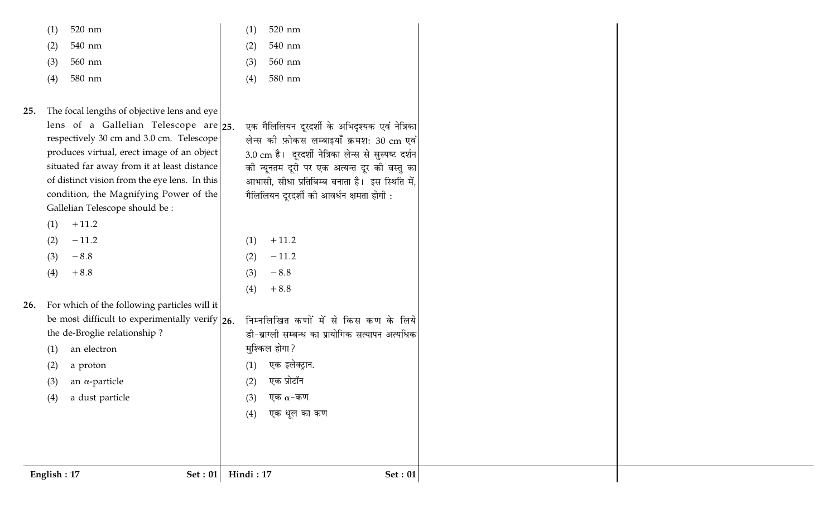520 nm  $(1)$ 

540 nm  $(2)$ 

- 560 nm  $(3)$
- 580 nm  $(4)$
- 520 nm  $(1)$
- 540 nm  $(2)$
- $(3)$ 560 nm
- $(4)$ 580 nm

एक गैलिलियन दूरदर्शी के अभिदुश्यक एवं नेत्रिका

लेन्स की फ़ोकस लम्बाइयाँ क्रमश: 30 cm एवं

3.0 cm है। दूरदर्शी नेत्रिका लेन्स से सुस्पष्ट दर्शन

की न्यूनतम दूरी पर एक अत्यन्त दूर की वस्तु का

आभासी, सीधा प्रतिबिम्ब बनाता है। इस स्थिति में,

गैलिलियन दूरदर्शी की आवर्धन क्षमता होगी :

- The focal lengths of objective lens and eye  $25.$ lens of a Gallelian Telescope are  $|25|$ . respectively 30 cm and 3.0 cm. Telescope produces virtual, erect image of an object situated far away from it at least distance of distinct vision from the eye lens. In this condition, the Magnifying Power of the Gallelian Telescope should be :
	- $+11.2$  $(1)$
	- $-11.2$  $(2)$
	- $-8.8$  $(3)$
	- $+8.8$  $(4)$
- 26. For which of the following particles will it be most difficult to experimentally verify  $|_{26}$ . the de-Broglie relationship?
	- an electron  $(1)$
	- a proton  $(2)$
	- an  $\alpha$ -particle  $(3)$
	- a dust particle  $(4)$
- $+11.2$  $(1)$  $(2)$  $-11.2$  $-8.8$  $(3)$  $(4)$  $+8.8$
- निम्नलिखित कणों में से किस कण के लिये डी-ब्राग्ली सम्बन्ध का प्रायोगिक सत्यापन अत्यधिक मुश्किल होगा? एक इलेक्ट्रान.  $(1)$ एक प्रोटॉन  $(2)$ एक  $\alpha$ -कण  $(3)$ एक धूल का कण  $(4)$

English: 17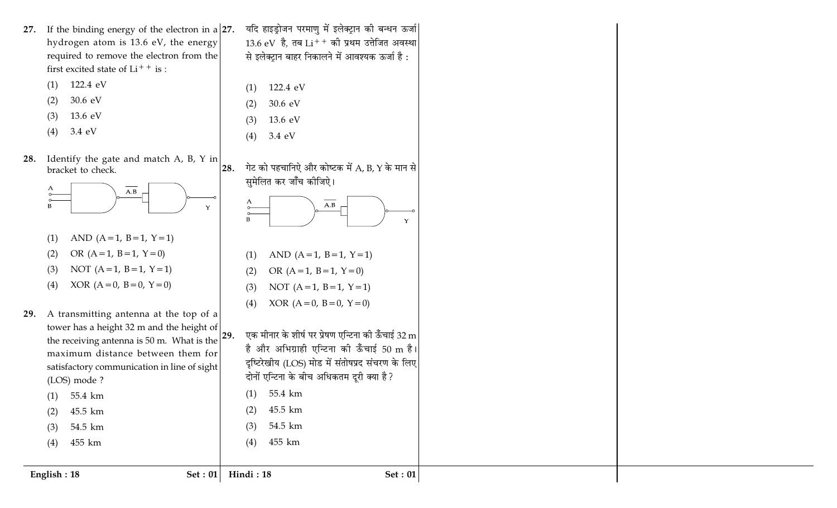- 27. If the binding energy of the electron in a  $|27$ . hydrogen atom is 13.6 eV, the energy required to remove the electron from the first excited state of  $Li^{++}$  is :
	- 122.4 eV  $(1)$
	- 30.6 eV  $(2)$
	- 13.6 eV  $(3)$
	- 3.4 eV  $(4)$
- Identify the gate and match A, B, Y in 28. bracket to check. 28.



- AND  $(A=1, B=1, Y=1)$  $(1)$
- OR  $(A=1, B=1, Y=0)$  $(2)$
- NOT  $(A=1, B=1, Y=1)$  $(3)$
- XOR  $(A = 0, B = 0, Y = 0)$  $(4)$
- A transmitting antenna at the top of a 29. tower has a height 32 m and the height of the receiving antenna is 50 m. What is the  $|^{29}$ . maximum distance between them for satisfactory communication in line of sight (LOS) mode ?
	- 55.4 km  $(1)$ 45.5 km  $(2)$
	- 54.5 km  $(3)$
	- 455 km  $(4)$

English: 18

- यदि हाइड्रोजन परमाणु में इलेक्ट्रान की बन्धन ऊर्जा  $13.6$  eV है, तब  $Li^{++}$  की प्रथम उत्तेजित अवस्था से इलेक्ट्रान बाहर निकालने में आवश्यक ऊर्जा है:
- 122.4 eV  $(1)$
- 30.6 eV  $(2)$ 13.6 eV  $(3)$
- $(4)$ 3.4 eV
- गेट को पहचानिऐ और कोष्टक में  $\rm A$ , B, Y के मान से सुमेलित कर जाँच कीजिऐ।



- AND  $(A=1, B=1, Y=1)$  $(1)$ OR  $(A=1, B=1, Y=0)$  $(2)$
- NOT  $(A=1, B=1, Y=1)$  $(3)$
- XOR  $(A=0, B=0, Y=0)$  $(4)$

एक मीनार के शीर्ष पर प्रेषण एन्टिना की ऊँचाई 32 m है और अभिग्राही एन्टिना की ऊँचाई 50 m है। दृष्टिरेखीय (LOS) मोड में संतोषप्रद संचरण के लिए दोनों एन्टिना के बीच अधिकतम दुरी क्या है? 55.4 km  $(1)$ 45.5 km  $(2)$ 

54.5 km  $(3)$ 455 km  $(4)$ 

Set : 01

Hindi: 18

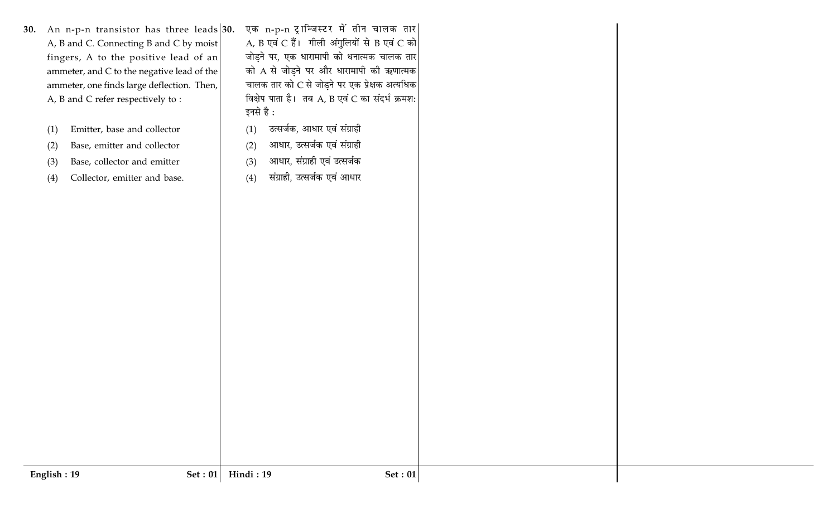- 30. An n-p-n transistor has three leads  $30$ . A, B and C. Connecting B and C by moist fingers, A to the positive lead of an ammeter, and C to the negative lead of the ammeter, one finds large deflection. Then, A, B and C refer respectively to:
	- Emitter, base and collector  $(1)$
	- Base, emitter and collector  $(2)$
	- Base, collector and emitter  $(3)$
	- Collector, emitter and base.  $(4)$

एक n-p-n ट्रान्जिस्टर में तीन चालक तार A, B एवं C हैं। गीली अंगुलियों से B एवं C को जोड़ने पर, एक धारामापी को धनात्मक चालक तार को A से जोड़ने पर और धारामापी की ऋणात्मक चालक तार को C से जोड़ने पर एक प्रेक्षक अत्यधिक विक्षेप पाता है। तब A, B एवं C का संदर्भ क्रमश: इनसे है :

- उत्सर्जक, आधार एवं संग्राही  $(1)$
- आधार, उत्सर्जक एवं संग्राही  $(2)$
- आधार, संग्राही एवं उत्सर्जक  $(3)$
- संग्राही, उत्सर्जक एवं आधार  $(4)$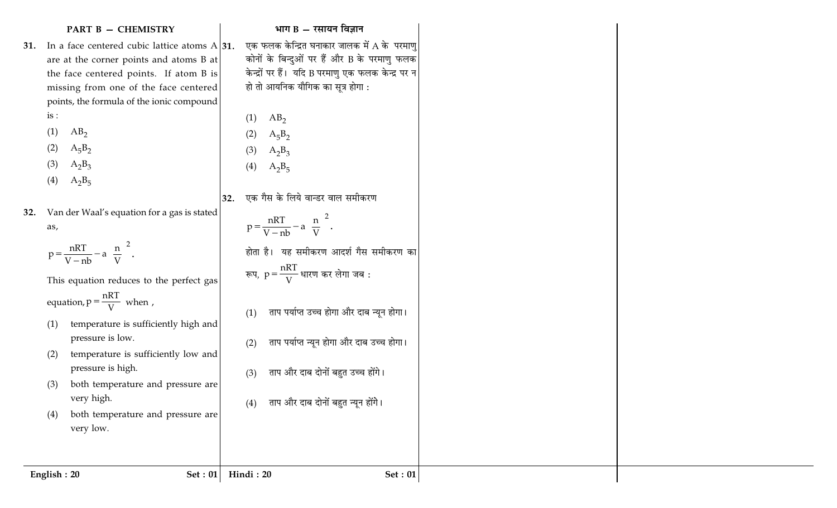|             | <b>PART B - CHEMISTRY</b>                                 | भाग B $-$ रसायन विज्ञान                                   |
|-------------|-----------------------------------------------------------|-----------------------------------------------------------|
|             | 31. In a face centered cubic lattice atoms $A$ 31.        | एक फलक केन्द्रित घनाकार जालक में A के परमाणु              |
|             | are at the corner points and atoms B at                   | कोनों के बिन्दुओं पर हैं और B के परमाणु फलक               |
|             | the face centered points. If atom B is                    | केन्द्रों पर हैं। यदि B परमाणु एक फलक केन्द्र पर न        |
|             | missing from one of the face centered                     | हो तो आयनिक यौगिक का सूत्र होगा :                         |
|             | points, the formula of the ionic compound                 |                                                           |
| is:         |                                                           | AB <sub>2</sub><br>(1)                                    |
| (1)         | $AB_2$                                                    | (2)<br>$A_5B_2$                                           |
| (2)         | $A_5B_2$                                                  | (3)<br>$A_2B_3$                                           |
| (3)         | $A_2B_3$                                                  | (4)<br>$A_2B_5$                                           |
| (4)         | $A_2B_5$                                                  |                                                           |
|             |                                                           | एक गैस के लिये वान्डर वाल समीकरण<br>32.                   |
| 32.         | Van der Waal's equation for a gas is stated               |                                                           |
| as,         |                                                           | $p = {nRT \over V - nb} - a \left(\frac{n}{V}\right)^2$ . |
|             | $p = {nRT \over V - nb} - a \left(\frac{n}{V}\right)^2$ . | होता है। यह समीकरण आदर्श गैस समीकरण का                    |
|             |                                                           | रूप, $p = \frac{nRT}{V}$ धारण कर लेगा जब :                |
|             | This equation reduces to the perfect gas                  |                                                           |
|             | equation, $p = \frac{nRT}{V}$ when,                       |                                                           |
|             |                                                           | ताप पर्याप्त उच्च होगा और दाब न्यून होगा।<br>(1)          |
| (1)         | temperature is sufficiently high and                      |                                                           |
|             | pressure is low.                                          | ताप पर्याप्त न्यून होगा और दाब उच्च होगा।<br>(2)          |
| (2)         | temperature is sufficiently low and                       |                                                           |
|             | pressure is high.                                         | ताप और दाब दोनों बहुत उच्च होंगे।<br>(3)                  |
| (3)         | both temperature and pressure are<br>very high.           |                                                           |
| (4)         | both temperature and pressure are                         | ताप और दाब दोनों बहुत न्यून होंगे।<br>(4)                 |
|             | very low.                                                 |                                                           |
|             |                                                           |                                                           |
|             |                                                           |                                                           |
| English: 20 |                                                           | $Set: 01$ Hindi: 20<br><b>Set: 01</b>                     |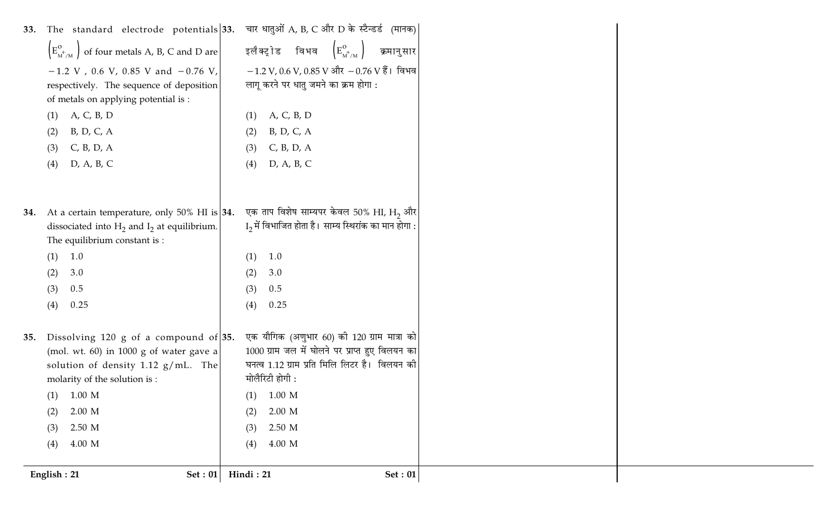| 33. | The standard electrode potentials 33. चार धातुओं A, B, C और D के स्टैन्डर्ड (मानक) |                |                                                                                 |                |
|-----|------------------------------------------------------------------------------------|----------------|---------------------------------------------------------------------------------|----------------|
|     | $\left(E_{\text{M}^+\text{/M}}^{\text{o}}\right)$ of four metals A, B, C and D are |                | इलैक्ट्रोड विभव $\left(\mathtt{E}_{_{\text{M}^{+}/\text{M}}}^{\text{o}}\right)$ | क्रमानुसार     |
|     | $-1.2$ V, 0.6 V, 0.85 V and $-0.76$ V,                                             |                | $-1.2$ V, 0.6 V, 0.85 V और $-0.76$ V हैं। विभव                                  |                |
|     | respectively. The sequence of deposition<br>of metals on applying potential is :   |                | लागू करने पर धातु जमने का क्रम होगा :                                           |                |
|     | A, C, B, D<br>(1)                                                                  | (1)            | A, C, B, D                                                                      |                |
|     | B, D, C, A<br>(2)                                                                  | (2)            | B, D, C, A                                                                      |                |
|     | C, B, D, A<br>(3)                                                                  | (3)            | C, B, D, A                                                                      |                |
|     | D, A, B, C<br>(4)                                                                  | (4)            | D, A, B, C                                                                      |                |
|     |                                                                                    |                |                                                                                 |                |
|     |                                                                                    |                |                                                                                 |                |
| 34. | At a certain temperature, only $50\%$ HI is 34.                                    |                | एक ताप विशेष साम्यपर केवल 50% HI, H <sub>2</sub> और                             |                |
|     | dissociated into $H_2$ and $I_2$ at equilibrium.                                   |                | $I_2$ में विभाजित होता है। साम्य स्थिरांक का मान होगा :                         |                |
|     | The equilibrium constant is :                                                      |                |                                                                                 |                |
|     | 1.0<br>(1)                                                                         | (1)            | 1.0                                                                             |                |
|     | (2)<br>3.0<br>0.5                                                                  | (2)            | 3.0<br>0.5                                                                      |                |
|     | (3)<br>(4)<br>0.25                                                                 | (3)<br>(4)     | 0.25                                                                            |                |
|     |                                                                                    |                |                                                                                 |                |
| 35. | Dissolving 120 g of a compound of $35$ .                                           |                | एक यौगिक (अणुभार 60) की 120 ग्राम मात्रा को                                     |                |
|     | (mol. wt. 60) in 1000 g of water gave a                                            |                | 1000 ग्राम जल में घोलने पर प्राप्त हुए विलयन का                                 |                |
|     | solution of density 1.12 $g/mL$ . The                                              |                | घनत्व 1.12 ग्राम प्रति मिलि लिटर है। विलयन की                                   |                |
|     | molarity of the solution is :                                                      | मोलैरिटी होगी: |                                                                                 |                |
|     | $(1)$ 1.00 M                                                                       | (1)            | $1.00\ \mathrm{M}$                                                              |                |
|     | $2.00\,$ M<br>(2)                                                                  | (2)            | $2.00\,$ M                                                                      |                |
|     | 2.50 M<br>(3)                                                                      | (3)            | 2.50 M                                                                          |                |
|     | 4.00 M<br>(4)                                                                      | (4)            | 4.00 M                                                                          |                |
|     |                                                                                    |                |                                                                                 |                |
|     | Set: 01<br>English: 21                                                             | Hindi: 21      |                                                                                 | <b>Set: 01</b> |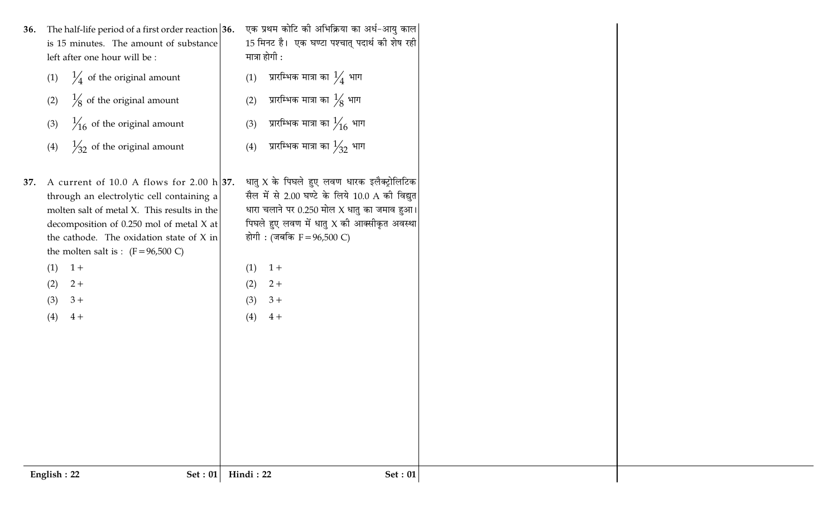| 36. | (2)<br>(3)<br>(4)        | The half-life period of a first order reaction $36$ .<br>is 15 minutes. The amount of substance<br>left after one hour will be :<br>(1) $\frac{1}{4}$ of the original amount<br>$\frac{1}{8}$ of the original amount<br>$\frac{1}{16}$ of the original amount<br>$\frac{1}{2}$ of the original amount             | (1)<br>(2)<br>(3)<br>(4) | एक प्रथम कोटि की अभिक्रिया का अर्ध-आयु काल<br>15 मिनट है। एक घण्टा पश्चात् पदार्थ की शेष रही<br>मात्रा होगी :<br>प्रारम्भिक मात्रा का $\frac{1}{4}$ भाग<br>प्रारम्भिक मात्रा का $\frac{1}{8}$ भाग<br>प्रारम्भिक मात्रा का $\frac{1}{16}$ भाग<br>प्रारम्भिक मात्रा का $\frac{1}{32}$ भाग |
|-----|--------------------------|-------------------------------------------------------------------------------------------------------------------------------------------------------------------------------------------------------------------------------------------------------------------------------------------------------------------|--------------------------|-----------------------------------------------------------------------------------------------------------------------------------------------------------------------------------------------------------------------------------------------------------------------------------------|
|     | (1)<br>(2)<br>(3)<br>(4) | 37. A current of 10.0 A flows for 2.00 h 37.<br>through an electrolytic cell containing a<br>molten salt of metal X. This results in the<br>decomposition of 0.250 mol of metal X at<br>the cathode. The oxidation state of X in<br>the molten salt is : $(F = 96,500 \text{ C})$<br>$1+$<br>$2+$<br>$3+$<br>$4+$ | (1)<br>(2)<br>(3)<br>(4) | धातु $X$ के पिघले हुए लवण धारक इलैक्ट्रोलिटिक<br>सैल में से 2.00 घण्टे के लिये 10.0 A की विद्युत<br>धारा चलाने पर 0.250 मोल X धातु का जमाव हुआ।<br>पिघले हुए लवण में धातु $X$ की आक्सीकृत अवस्था<br>होगी : (जबकि F = 96,500 C)<br>$1+$<br>$2+$<br>$3+$<br>$4+$                          |
|     | English: 22              | <b>Set: 01</b>                                                                                                                                                                                                                                                                                                    | Hindi: 22                | Set: 01                                                                                                                                                                                                                                                                                 |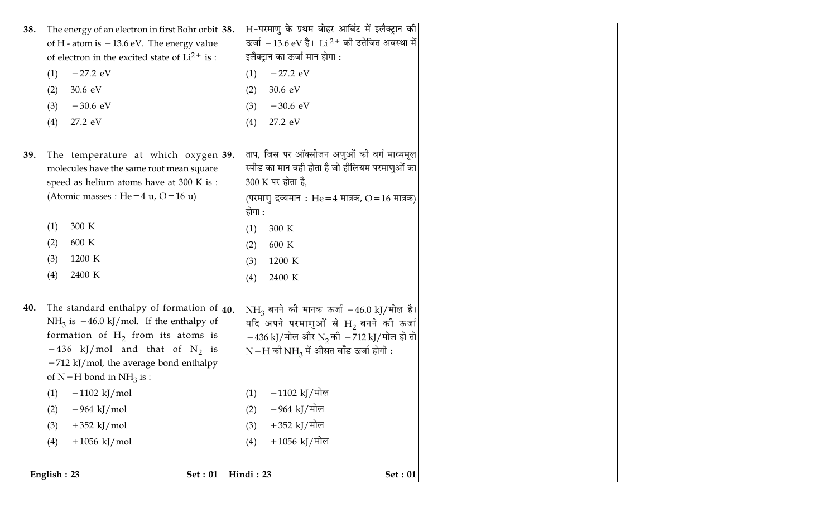| of electron in the excited state of $Li^{2+}$ is : |                                                                |                                                                                                                                                                                                                                                                                                                                                                                                                                                |                                                                                                                                                                                                                                                                                                                                                                                                                                                                                                                                                                                                                                                           |
|----------------------------------------------------|----------------------------------------------------------------|------------------------------------------------------------------------------------------------------------------------------------------------------------------------------------------------------------------------------------------------------------------------------------------------------------------------------------------------------------------------------------------------------------------------------------------------|-----------------------------------------------------------------------------------------------------------------------------------------------------------------------------------------------------------------------------------------------------------------------------------------------------------------------------------------------------------------------------------------------------------------------------------------------------------------------------------------------------------------------------------------------------------------------------------------------------------------------------------------------------------|
| $-27.2$ eV<br>(1)                                  |                                                                | $-27.2$ eV                                                                                                                                                                                                                                                                                                                                                                                                                                     |                                                                                                                                                                                                                                                                                                                                                                                                                                                                                                                                                                                                                                                           |
| 30.6 eV<br>(2)                                     |                                                                | $30.6 \text{ eV}$                                                                                                                                                                                                                                                                                                                                                                                                                              |                                                                                                                                                                                                                                                                                                                                                                                                                                                                                                                                                                                                                                                           |
| $-30.6$ eV<br>(3)                                  |                                                                | $-30.6$ eV                                                                                                                                                                                                                                                                                                                                                                                                                                     |                                                                                                                                                                                                                                                                                                                                                                                                                                                                                                                                                                                                                                                           |
| 27.2 eV<br>(4)                                     |                                                                | 27.2 eV                                                                                                                                                                                                                                                                                                                                                                                                                                        |                                                                                                                                                                                                                                                                                                                                                                                                                                                                                                                                                                                                                                                           |
|                                                    |                                                                |                                                                                                                                                                                                                                                                                                                                                                                                                                                |                                                                                                                                                                                                                                                                                                                                                                                                                                                                                                                                                                                                                                                           |
|                                                    |                                                                |                                                                                                                                                                                                                                                                                                                                                                                                                                                |                                                                                                                                                                                                                                                                                                                                                                                                                                                                                                                                                                                                                                                           |
|                                                    |                                                                |                                                                                                                                                                                                                                                                                                                                                                                                                                                |                                                                                                                                                                                                                                                                                                                                                                                                                                                                                                                                                                                                                                                           |
| (Atomic masses : He = $4 u$ , O = $16 u$ )         |                                                                |                                                                                                                                                                                                                                                                                                                                                                                                                                                |                                                                                                                                                                                                                                                                                                                                                                                                                                                                                                                                                                                                                                                           |
|                                                    |                                                                |                                                                                                                                                                                                                                                                                                                                                                                                                                                |                                                                                                                                                                                                                                                                                                                                                                                                                                                                                                                                                                                                                                                           |
| 300 K<br>(1)                                       |                                                                | 300 K                                                                                                                                                                                                                                                                                                                                                                                                                                          |                                                                                                                                                                                                                                                                                                                                                                                                                                                                                                                                                                                                                                                           |
| 600 K<br>(2)                                       |                                                                | 600 K                                                                                                                                                                                                                                                                                                                                                                                                                                          |                                                                                                                                                                                                                                                                                                                                                                                                                                                                                                                                                                                                                                                           |
| 1200 K<br>(3)                                      |                                                                | 1200 K                                                                                                                                                                                                                                                                                                                                                                                                                                         |                                                                                                                                                                                                                                                                                                                                                                                                                                                                                                                                                                                                                                                           |
| 2400 K<br>(4)                                      |                                                                | 2400 K                                                                                                                                                                                                                                                                                                                                                                                                                                         |                                                                                                                                                                                                                                                                                                                                                                                                                                                                                                                                                                                                                                                           |
|                                                    |                                                                |                                                                                                                                                                                                                                                                                                                                                                                                                                                |                                                                                                                                                                                                                                                                                                                                                                                                                                                                                                                                                                                                                                                           |
|                                                    |                                                                |                                                                                                                                                                                                                                                                                                                                                                                                                                                |                                                                                                                                                                                                                                                                                                                                                                                                                                                                                                                                                                                                                                                           |
|                                                    |                                                                |                                                                                                                                                                                                                                                                                                                                                                                                                                                |                                                                                                                                                                                                                                                                                                                                                                                                                                                                                                                                                                                                                                                           |
|                                                    |                                                                |                                                                                                                                                                                                                                                                                                                                                                                                                                                |                                                                                                                                                                                                                                                                                                                                                                                                                                                                                                                                                                                                                                                           |
| $-712$ kJ/mol, the average bond enthalpy           |                                                                |                                                                                                                                                                                                                                                                                                                                                                                                                                                |                                                                                                                                                                                                                                                                                                                                                                                                                                                                                                                                                                                                                                                           |
| of N – H bond in NH <sub>3</sub> is :              |                                                                |                                                                                                                                                                                                                                                                                                                                                                                                                                                |                                                                                                                                                                                                                                                                                                                                                                                                                                                                                                                                                                                                                                                           |
|                                                    |                                                                |                                                                                                                                                                                                                                                                                                                                                                                                                                                |                                                                                                                                                                                                                                                                                                                                                                                                                                                                                                                                                                                                                                                           |
| $-964$ kJ/mol                                      |                                                                | −964 kJ/मोल                                                                                                                                                                                                                                                                                                                                                                                                                                    |                                                                                                                                                                                                                                                                                                                                                                                                                                                                                                                                                                                                                                                           |
| $+352$ kJ/mol                                      |                                                                | +352 kJ/मोल                                                                                                                                                                                                                                                                                                                                                                                                                                    |                                                                                                                                                                                                                                                                                                                                                                                                                                                                                                                                                                                                                                                           |
| $+1056$ kJ/mol                                     |                                                                | $+1056$ kJ/मोल                                                                                                                                                                                                                                                                                                                                                                                                                                 |                                                                                                                                                                                                                                                                                                                                                                                                                                                                                                                                                                                                                                                           |
|                                                    |                                                                |                                                                                                                                                                                                                                                                                                                                                                                                                                                |                                                                                                                                                                                                                                                                                                                                                                                                                                                                                                                                                                                                                                                           |
|                                                    |                                                                |                                                                                                                                                                                                                                                                                                                                                                                                                                                | <b>Set: 01</b>                                                                                                                                                                                                                                                                                                                                                                                                                                                                                                                                                                                                                                            |
|                                                    | (1) $-1102 \text{ kJ/mol}$<br>(2)<br>(3)<br>(4)<br>English: 23 | The energy of an electron in first Bohr orbit $ 38$ .<br>of H - atom is $-13.6$ eV. The energy value<br>The temperature at which oxygen 39.<br>molecules have the same root mean square<br>speed as helium atoms have at 300 K is :<br>The standard enthalpy of formation of $ 40.$<br>NH <sub>3</sub> is $-46.0$ kJ/mol. If the enthalpy of<br>formation of $H_2$ from its atoms is<br>$-436$ kJ/mol and that of N <sub>2</sub> is<br>Set: 01 | H-परमाणु के प्रथम बोहर आर्बिट में इलैक्ट्रान की<br>ऊर्जा $-13.6$ eV है। Li $^{2+}$ की उत्तेजित अवस्था में<br>इलैक्ट्रान का ऊर्जा मान होगा :<br>(1)<br>(2)<br>(3)<br>(4)<br>ताप, जिस पर ऑक्सीजन अणुओं की वर्ग माध्यमूल<br>स्पीड का मान वही होता है जो हीलियम परमाणुओं का<br>300 K पर होता है,<br>(परमाणु द्रव्यमान: He = 4 मात्रक, O = 16 मात्रक)<br>होगा :<br>(1)<br>(2)<br>(3)<br>(4)<br>NH <sub>3</sub> बनने की मानक ऊर्जा -46.0 kJ/मोल है।<br>यदि अपने परमाणुओं से $H_2$ बनने की ऊर्जा<br>$-436$ kJ/मोल और N <sub>2</sub> की $-712$ kJ/मोल हो तो<br>$N-H$ की $NH_3$ में औसत बाँड ऊर्जा होगी :<br>$(1)$ – 1102 kJ/मोल<br>(2)<br>(3)<br>(4)<br>Hindi: 23 |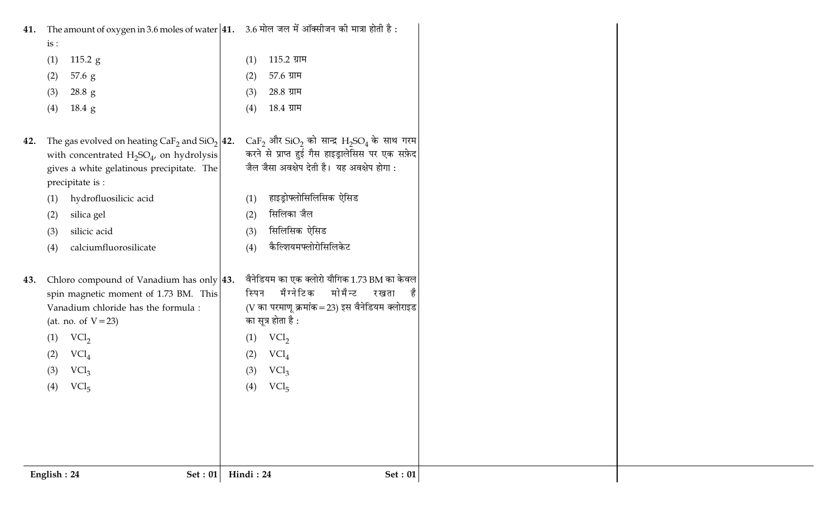| <b>41.</b> The amount of oxygen in 3.6 moles of water $ 41.$ 3.6 मोल जल में ऑक्सीजन की मात्रा होती है :                                                                                                                                                 |
|---------------------------------------------------------------------------------------------------------------------------------------------------------------------------------------------------------------------------------------------------------|
| 115.2 ग्राम<br>(1)                                                                                                                                                                                                                                      |
| 57.6 ग्राम<br>(2)                                                                                                                                                                                                                                       |
| 28.8 ग्राम<br>(3)                                                                                                                                                                                                                                       |
| 18.4 ग्राम<br>(4)                                                                                                                                                                                                                                       |
| $CaF_2$ और SiO <sub>2</sub> को सान्द्र $H_2SO_4$ के साथ गरम<br>The gas evolved on heating $CaF_2$ and $SiO_2$   42.<br>करने से प्राप्त हुई गैस हाइड्रालेसिस पर एक सफ़ेद<br>जैल जैसा अवक्षेप देती है। यह अवक्षेप होगा:<br>हाइड्रोफ्लोसिलिसिक ऐसिड<br>(1) |
| सिलिका जैल                                                                                                                                                                                                                                              |
| (2)<br>सिलिसिक ऐसिड<br>(3)                                                                                                                                                                                                                              |
| कैल्शियमफ्लोरोसिलिकेट<br>(4)                                                                                                                                                                                                                            |
|                                                                                                                                                                                                                                                         |
| वैनेडियम का एक क्लोरो यौगिक 1.73 BM का केवल<br>Chloro compound of Vanadium has only $ 43$ .<br>मैग्नेटिक<br>मोमैन्ट<br>रखता<br>है<br>स्पिन<br>(V का परमाणू क्रमांक = 23) इस वैनेडियम क्लोराइड<br>का सूत्र होता है :                                     |
| VCl <sub>2</sub><br>(1)<br>$\text{VCl}_4$<br>(2)                                                                                                                                                                                                        |
| $\mathrm{VCl}_3$<br>(3)                                                                                                                                                                                                                                 |
| (4)<br>$\text{VCl}_5$                                                                                                                                                                                                                                   |
|                                                                                                                                                                                                                                                         |
|                                                                                                                                                                                                                                                         |
| Hindi: 24<br><b>Set: 01</b>                                                                                                                                                                                                                             |
|                                                                                                                                                                                                                                                         |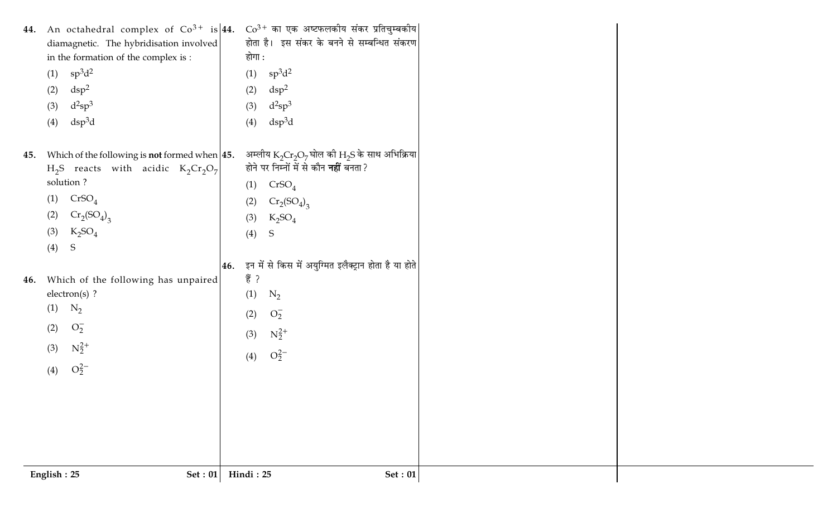| English: 25 | <b>Set: 01</b>                                                                                     | Hindi: 25                                                                                          | $\operatorname{\mathsf{Set}}:01$ |
|-------------|----------------------------------------------------------------------------------------------------|----------------------------------------------------------------------------------------------------|----------------------------------|
|             |                                                                                                    |                                                                                                    |                                  |
|             |                                                                                                    |                                                                                                    |                                  |
| (4)         | $O_2^{2-}$                                                                                         | $O_2^{2-}$<br>(4)                                                                                  |                                  |
| (3)         | $N_2^{2+}$                                                                                         | $N_2^{2+}$<br>(3)                                                                                  |                                  |
| (2)         | $O_2^-$                                                                                            | $O_2^-$<br>(2)                                                                                     |                                  |
| (1)         | electron(s) ?<br>$N_2$                                                                             | (1)<br>$N_2$                                                                                       |                                  |
| 46.         | Which of the following has unpaired                                                                | हैं ?                                                                                              |                                  |
|             |                                                                                                    | 46. इन में से किस में अयुग्मित इलैक्ट्रान होता है या होते                                          |                                  |
| (3)<br>(4)  | $K_2SO_4$<br>S                                                                                     | (4)<br>${\mathsf S}$                                                                               |                                  |
| (2)         | $Cr_2(SO_4)_{3}$                                                                                   | $K_2SO_4$<br>(3)                                                                                   |                                  |
| (1)         | CrSO <sub>4</sub>                                                                                  | $Cr_2(SO_4)_{3}$<br>(2)                                                                            |                                  |
|             | solution?                                                                                          | CrSO <sub>4</sub><br>(1)                                                                           |                                  |
| 45.         | Which of the following is <b>not</b> formed when $ 45$ .<br>$H_2S$ reacts with acidic $K_2Cr_2O_7$ | अम्लीय $K_2Cr_2O_7$ घोल की $H_2S$ के साथ अभिक्रिया<br>होने पर निम्नों में से कौन <b>नहीं</b> बनता? |                                  |
|             |                                                                                                    |                                                                                                    |                                  |
| (3)<br>(4)  | $d^2sp^3$<br>$dsp^3d$                                                                              | $d^2sp^3$<br>(3)<br>$\mathrm{dsp}^3\mathrm{d}$<br>(4)                                              |                                  |
| (2)         | $\rm{dsp^2}$                                                                                       | $\rm{dsp^2}$<br>(2)                                                                                |                                  |
| (1)         | $sp^3d^2$                                                                                          | $sp^3d^2$<br>(1)                                                                                   |                                  |
|             | in the formation of the complex is :                                                               | होगा :                                                                                             |                                  |
|             | diamagnetic. The hybridisation involved                                                            | होता है। इस संकर के बनने से सम्बन्धित संकरण                                                        |                                  |
|             | 44. An octahedral complex of $Co^{3+}$ is 44.                                                      | $Co^{3+}$ का एक अष्टफलकीय संकर प्रतिचुम्बकीय                                                       |                                  |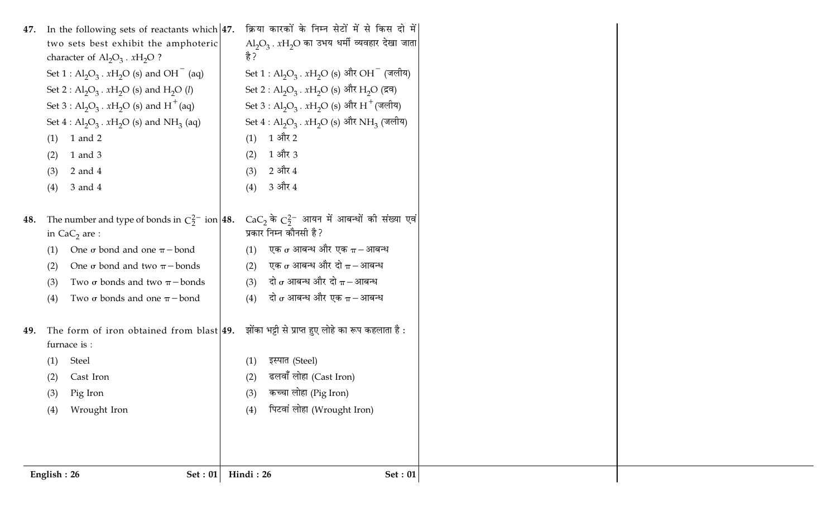| 47. | In the following sets of reactants which $ 47$ .               | क्रिया कारकों के निम्न सेटों में से किस दो में                                         |
|-----|----------------------------------------------------------------|----------------------------------------------------------------------------------------|
|     | two sets best exhibit the amphoteric                           | $\mathrm{Al}_2\mathrm{O}_3$ . $x\mathrm{H}_2\mathrm{O}$ का उभय धर्मी व्यवहार देखा जाता |
|     | character of $\text{Al}_2\text{O}_3$ . $x\text{H}_2\text{O}$ ? | है ?                                                                                   |
|     | Set $1: Al_2O_3$ . $xH_2O$ (s) and OH <sup>-</sup> (aq)        | Set $1: Al_2O_3$ . $xH_2O$ (s) और OH <sup>-</sup> (जलीय)                               |
|     | Set 2 : $Al_2O_3$ . $xH_2O$ (s) and $H_2O$ (l)                 | Set 2 : Al <sub>2</sub> O <sub>3</sub> . $xH_2O$ (s) और H <sub>2</sub> O (द्रव)        |
|     | Set 3 : $Al_2O_3$ . $xH_2O$ (s) and $H^+(aq)$                  | Set 3 : Al <sub>2</sub> O <sub>3</sub> . $xH_2O$ (s) और H <sup>+</sup> (जलीय)          |
|     | Set $4: Al_2O_3$ . $xH_2O$ (s) and NH <sub>3</sub> (aq)        | Set $4: Al_2O_3$ . $xH_2O$ (s) और NH <sub>3</sub> (जलीय)                               |
|     | 1 and 2<br>(1)                                                 | 1 और 2<br>(1)                                                                          |
|     | 1 and 3<br>(2)                                                 | 1 और 3<br>(2)                                                                          |
|     | $2$ and $4$<br>(3)                                             | 2 और 4<br>(3)                                                                          |
|     | 3 and 4<br>(4)                                                 | 3 और 4<br>(4)                                                                          |
|     |                                                                |                                                                                        |
| 48. | The number and type of bonds in $C_2^{2-}$ ion 48.             | $CaC_2$ के $C_2^{2-}$ आयन में आबन्धों की संख्या एवं                                    |
|     | in $CaC2$ are :                                                | प्रकार निम्न कौनसी है?                                                                 |
|     | One $\sigma$ bond and one $\pi$ - bond<br>(1)                  | एक $\sigma$ आबन्ध और एक $\pi-$ आबन्ध<br>(1)                                            |
|     | One $\sigma$ bond and two $\pi$ - bonds<br>(2)                 | एक $\sigma$ आबन्ध और दो $\pi-$ आबन्ध<br>(2)                                            |
|     | Two $\sigma$ bonds and two $\pi$ - bonds<br>(3)                | दो $\sigma$ आबन्ध और दो $\pi-$ आबन्ध<br>(3)                                            |
|     | Two $\sigma$ bonds and one $\pi$ - bond<br>(4)                 | दो $\sigma$ आबन्ध और एक $\pi-$ आबन्ध<br>(4)                                            |
|     |                                                                |                                                                                        |
| 49. | The form of iron obtained from blast $ 49.$                    | झोंका भट्टी से प्राप्त हुए लोहे का रूप कहलाता है :                                     |
|     | furnace is :                                                   |                                                                                        |
|     | Steel<br>(1)                                                   | इस्पात (Steel)<br>(1)                                                                  |
|     | Cast Iron<br>(2)                                               | ढलवाँ लोहा (Cast Iron)<br>(2)                                                          |
|     | (3) Pig Iron                                                   | कच्चा लोहा (Pig Iron)<br>(3)                                                           |
|     | Wrought Iron<br>(4)                                            | पिटवां लोहा (Wrought Iron)<br>(4)                                                      |
|     |                                                                |                                                                                        |
|     |                                                                |                                                                                        |
|     |                                                                |                                                                                        |
|     | English: 26<br>Set : $01$                                      | Hindi: 26<br>Set: 01                                                                   |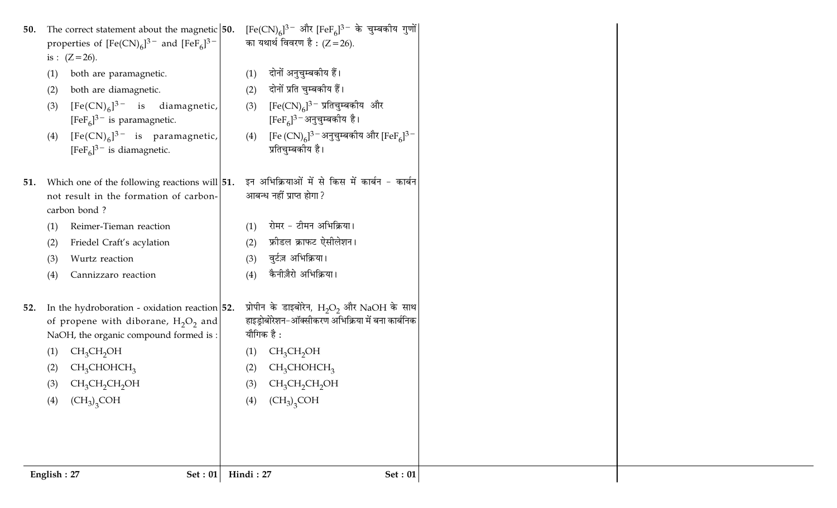| 50.        | The correct statement about the magnetic $ 50$ .<br>properties of $[Fe(CN)_6]^{3-}$ and $[FeF_6]^{3-}$<br>is : $(Z = 26)$ .           | $[Fe(CN)_{6}]^{3-}$ और $[FeF_{6}]^{3-}$ के चुम्बकीय गुणों<br>का यथार्थ विवरण है : (Z = 26).                     |
|------------|---------------------------------------------------------------------------------------------------------------------------------------|-----------------------------------------------------------------------------------------------------------------|
| (1)        | both are paramagnetic.                                                                                                                | दोनों अनुचुम्बकीय हैं।<br>(1)<br>दोनों प्रति चुम्बकीय हैं।                                                      |
| (2)<br>(3) | both are diamagnetic.<br>$[Fe(CN)6]$ <sup>3-</sup> is diamagnetic,<br>$[FeF6]$ <sup>3-</sup> is paramagnetic.                         | (2)<br>$[Fe(CN)_6]^{3}$ प्रतिचुम्बकीय और<br>(3)<br>$[FeF6]$ <sup>3 –</sup> अनुचुम्बकीय है।                      |
| (4)        | $[Fe(CN)6]$ <sup>3-</sup> is paramagnetic,<br>$[FeF6]$ <sup>3-</sup> is diamagnetic.                                                  | [Fe $(CN)_6$ ] <sup>3 –</sup> अनुचुम्बकीय और [FeF <sub>6</sub> ] <sup>3 –</sup><br>(4)<br>प्रतिचुम्बकीय है।     |
| 51.        | Which one of the following reactions will $ 51$ .<br>not result in the formation of carbon-<br>carbon bond?                           | इन अभिक्रियाओं में से किस में कार्बन - कार्बन<br>आबन्ध नहीं प्राप्त होगा ?                                      |
| (1)        | Reimer-Tieman reaction                                                                                                                | रोमर - टीमन अभिक्रिया।<br>(1)                                                                                   |
| (2)        | Friedel Craft's acylation                                                                                                             | फ्रीडल क्राफट ऐसीलेशन।<br>(2)                                                                                   |
| (3)        | Wurtz reaction                                                                                                                        | वुर्टज़ अभिक्रिया।<br>(3)                                                                                       |
| (4)        | Cannizzaro reaction                                                                                                                   | कैनीज़ैरो अभिक्रिया।<br>(4)                                                                                     |
| 52.        | In the hydroboration - oxidation reaction $ 52$ .<br>of propene with diborane, $H_2O_2$ and<br>NaOH, the organic compound formed is : | प्रोपीन के डाइबोरेन, $H_2O_2$ और NaOH के साथ<br>हाइड्रोबोरेशन-ऑक्सीकरण अभिक्रिया में बना कार्बनिक<br>यौगिक है : |
| (1)        | $CH_3CH_2OH$                                                                                                                          | CH <sub>3</sub> CH <sub>2</sub> OH<br>(1)                                                                       |
| (2)        | CH <sub>3</sub> CHOHCH <sub>3</sub>                                                                                                   | CH <sub>3</sub> CHOHCH <sub>3</sub><br>(2)                                                                      |
| (3)        | $CH_3CH_2CH_2OH$                                                                                                                      | (3)<br>$CH_3CH_2CH_2OH$                                                                                         |
| (4)        | $\overline{\text{CH}_3)}_3\text{COH}$                                                                                                 | $\left(\text{CH}_3\right)_{3}\text{COH}$<br>(4)                                                                 |
|            |                                                                                                                                       |                                                                                                                 |
|            | English: 27<br><b>Set: 01</b>                                                                                                         | Hindi: 27<br>Set: 01                                                                                            |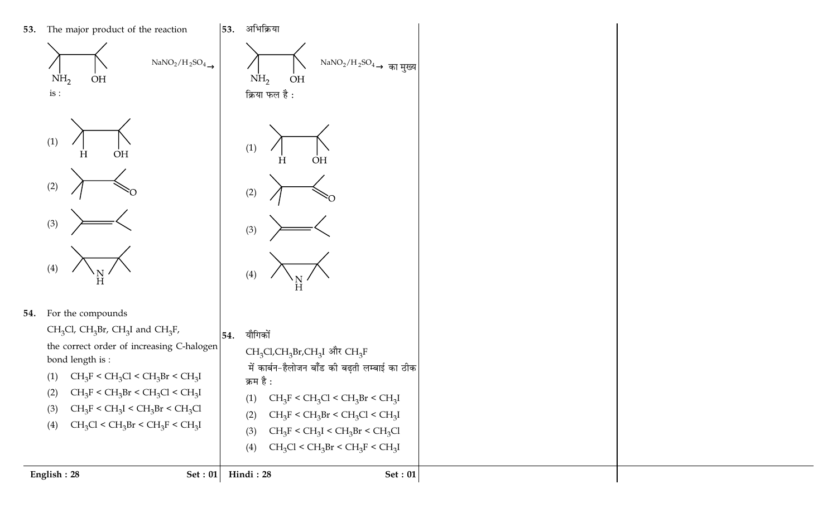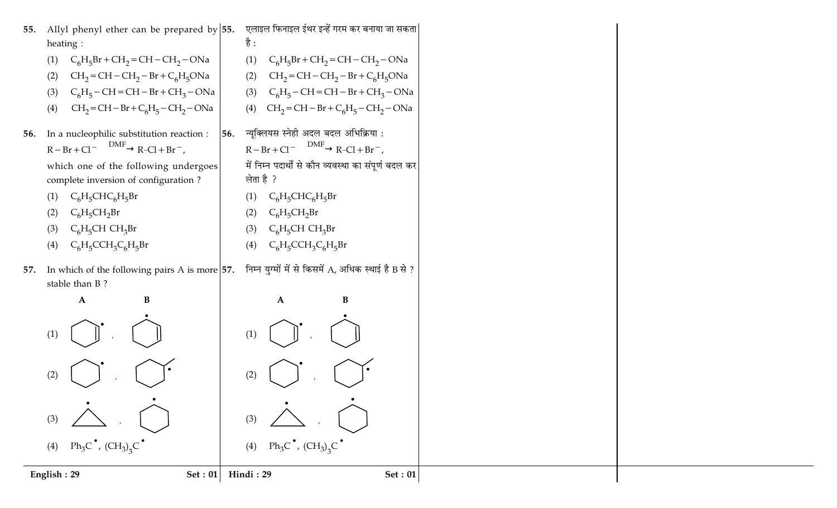| Allyl phenyl ether can be prepared by $ 55$ .<br>55.                       | एलाइल फिनाइल ईथर इन्हें गरम कर बनाया जा सकता           |
|----------------------------------------------------------------------------|--------------------------------------------------------|
| heating :                                                                  | है :                                                   |
| $C_6H_5Br + CH_2 = CH - CH_2 - ONa$                                        | $C_6H_5Br + CH_2=CH-CH_2-ONa$                          |
| (1)                                                                        | (1)                                                    |
| $CH2=CH-CH2-Br+C6H5ONa$                                                    | $CH2=CH-CH2-Br+C6H5ONa$                                |
| (2)                                                                        | (2)                                                    |
| $C_6H_5$ – CH = CH – Br + CH <sub>3</sub> – ONa                            | $C_6H_5$ – CH = CH – Br + CH <sub>3</sub> – ONa        |
| (3)                                                                        | (3)                                                    |
| $CH2=CH-Br+C6H5-CH2-ONa$                                                   | $CH_2=CH-Br+C_6H_5-CH_2-ONa$                           |
| (4)                                                                        | (4)                                                    |
| In a nucleophilic substitution reaction :                                  | न्यूक्लियस स्नेही अदल बदल अभिक्रिया:                   |
| 56.                                                                        | 56.                                                    |
| $R - Br + Cl^ \xrightarrow{DMF}$ $R-Cl + Br^-$ ,                           | $R - Br + Cl \xrightarrow{DMF} R-Cl + Br^{-}$ ,        |
| which one of the following undergoes                                       | में निम्न पदार्थों से कौन व्यवस्था का संपूर्ण बदल कर   |
| complete inversion of configuration?                                       | लेता है ?                                              |
| $C_6H_5CHC_6H_5Br$                                                         | $C_6H_5CHC_6H_5Br$                                     |
| (1)                                                                        | (1)                                                    |
| $C_6H_5CH_2Br$                                                             | $C_6H_5CH_2Br$                                         |
| (2)                                                                        | (2)                                                    |
| $C_6H_5CHCH_3Br$                                                           | $C_6H_5CHCH_3Br$                                       |
| (3)                                                                        | (3)                                                    |
| $C_6H_5CCH_3C_6H_5Br$                                                      | $C_6H_5CCH_3C_6H_5Br$                                  |
| (4)                                                                        | (4)                                                    |
| In which of the following pairs A is more $ 57$ .<br>57.<br>stable than B? | निम्न युग्मों में से किसमें $A$ , अधिक स्थाई है B से ? |
| ${\bf A}$                                                                  | $\bf{B}$                                               |
| $\bf{B}$                                                                   | $\mathbf A$                                            |
| (1)                                                                        | (1)                                                    |
| (2)                                                                        | (2)                                                    |
| (3)                                                                        | (3)                                                    |
| (4) $Ph_3C^{\bullet}$ , $(CH_3)_3C^{\bullet}$                              | (4) $Ph_3C^{\bullet}$ , $(CH_3)_3C^{\bullet}$          |
| English: 29                                                                | Hindi: 29                                              |
| Set: 01                                                                    | <b>Set: 01</b>                                         |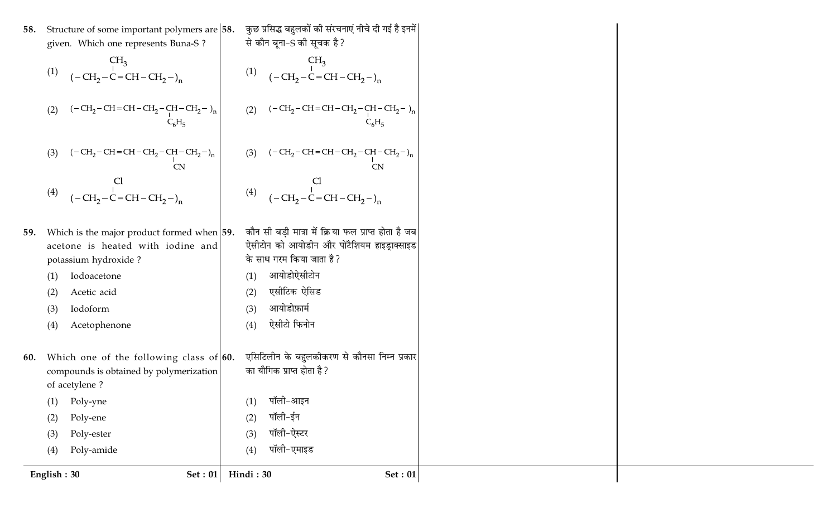|     | Set: $01$<br>English: 30                                                                                   | Hindi: 30<br><b>Set: 01</b>                                               |
|-----|------------------------------------------------------------------------------------------------------------|---------------------------------------------------------------------------|
|     | Poly-amide<br>(4)                                                                                          | पॉली-एमाइड<br>(4)                                                         |
|     | Poly-ester<br>(3)                                                                                          | पॉली-ऐस्टर<br>(3)                                                         |
|     | Poly-ene<br>(2)                                                                                            | पॉली-ईन<br>(2)                                                            |
|     | Poly-yne<br>(1)                                                                                            | पॉली-आइन<br>(1)                                                           |
|     | of acetylene?                                                                                              |                                                                           |
| 60. | Which one of the following class of $60$ .<br>compounds is obtained by polymerization                      | एसिटिलीन के बहुलकीकरण से कौनसा निम्न प्रकार<br>का यौगिक प्राप्त होता है ? |
|     |                                                                                                            |                                                                           |
|     | Acetophenone<br>(4)                                                                                        | ऐसीटो फिनोन<br>(4)                                                        |
|     | Iodoform<br>(3)                                                                                            | आयोडोफ़ार्म<br>(3)                                                        |
|     | Acetic acid<br>(2)                                                                                         | एसीटिक ऐसिड<br>(2)                                                        |
|     | Iodoacetone<br>(1)                                                                                         | आयोडोऐसीटोन<br>(1)                                                        |
|     | potassium hydroxide?                                                                                       | के साथ गरम किया जाता है?                                                  |
|     | acetone is heated with iodine and                                                                          | ऐसीटोन को आयोडीन और पोटैशियम हाइड्राक्साइड                                |
| 59. | Which is the major product formed when $ 59$ .                                                             | कौन सी बड़ी मात्रा में क्रिया फल प्राप्त होता है जब                       |
|     |                                                                                                            |                                                                           |
|     | (4) $\begin{array}{ccc}\n & C1 & & C1 \\ (-CH_2-C=CH-CH_2-)_n & & (4) & (-CH_2-C=CH-CH_2-)_n\n\end{array}$ |                                                                           |
|     |                                                                                                            | (3) $(-CH_2-CH=CH-CH_2-CH-CH_2-)_{n}$<br>CN                               |
|     | $(-CH_2-CH=CH-CH_2-CH-CH_2-)_{n}$<br>CN<br>(3)                                                             |                                                                           |
|     |                                                                                                            |                                                                           |
|     | $(-CH_2-CH=CH-CH_2-CH-CH_2-)_{n}$<br>C <sub>6</sub> H <sub>5</sub><br>(2)                                  | (2) $(-CH_2-CH=CH-CH_2-CH-CH_2-1)_n$<br>$C_6H_5$                          |
|     |                                                                                                            |                                                                           |
|     | CH <sub>3</sub><br>$(-CH_2-C=CH-CH_2-)_{n}$ (1) $CH_3$<br>$(-CH_2-C=CH-CH_2-)_{n}$<br>(1)                  |                                                                           |
|     |                                                                                                            |                                                                           |
|     | given. Which one represents Buna-S?                                                                        | से कौन बूना-S की सूचक है?                                                 |
| 58. | Structure of some important polymers are 58.                                                               | कुछ प्रसिद्ध बहुलकों की संरचनाएं नीचे दी गई है इनमें                      |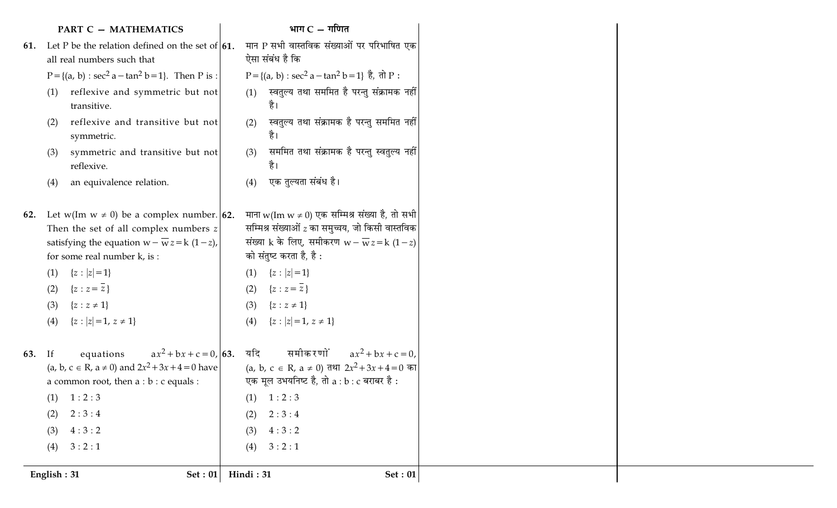## $PART C - MATHEMATICS$  | भाग  $C - 1$ णित |

|     | <b>PART C - MATHEMATICS</b>                                                                                                                                                                                              |                                 | भाग $C - \eta$ णित                                                                                                                                                                         |                |
|-----|--------------------------------------------------------------------------------------------------------------------------------------------------------------------------------------------------------------------------|---------------------------------|--------------------------------------------------------------------------------------------------------------------------------------------------------------------------------------------|----------------|
|     | 61. Let P be the relation defined on the set of $\vert 61$ .                                                                                                                                                             |                                 | मान P सभी वास्तविक संख्याओं पर परिभाषित एक                                                                                                                                                 |                |
|     | all real numbers such that                                                                                                                                                                                               |                                 | ऐसा संबंध है कि                                                                                                                                                                            |                |
|     | $P = \{(a, b) : \sec^2 a - \tan^2 b = 1\}$ . Then P is :                                                                                                                                                                 |                                 | P = {(a, b) : sec <sup>2</sup> a - tan <sup>2</sup> b = 1} $\dot{\vec{e}}$ , $\vec{d}$ P :                                                                                                 |                |
|     | reflexive and symmetric but not<br>(1)<br>transitive.                                                                                                                                                                    | (1)                             | स्वतुल्य तथा सममित है परन्तु संक्रामक नहीं <br>है।                                                                                                                                         |                |
|     | reflexive and transitive but not<br>(2)<br>symmetric.                                                                                                                                                                    | (2)                             | स्वतुल्य तथा संक्रामक है परन्तु सममित नहीं<br>है।                                                                                                                                          |                |
|     | symmetric and transitive but not<br>(3)<br>reflexive.                                                                                                                                                                    | (3)                             | सममित तथा संक्रामक है परन्तु स्वतुल्य नहीं <br>है।                                                                                                                                         |                |
|     | an equivalence relation.<br>(4)                                                                                                                                                                                          | (4)                             | एक तुल्यता संबंध है।                                                                                                                                                                       |                |
| 62. | Let w(Im $w \neq 0$ ) be a complex number. <b>62.</b><br>Then the set of all complex numbers z<br>satisfying the equation $w - \overline{w} z = k (1 - z)$ ,<br>for some real number k, is:                              |                                 | माना w(Im w ≠ 0) एक सम्मिश्र संख्या है, तो सभी<br>सम्मिश्र संख्याओं $z$ का समुच्चय, जो किसी वास्तविक<br>संख्या k के लिए, समीकरण $w - \overline{w} z = k (1-z)$<br>को संतुष्ट करता है, है : |                |
|     | ${z :  z =1}$<br>(1)<br>${z : z = \overline{z}}$<br>(2)<br>(3)<br>${z : z \neq 1}$                                                                                                                                       | (1)<br>(2)<br>(3)               | ${z :  z =1}$<br>$\{z : z = z\}$<br>${z : z \neq 1}$                                                                                                                                       |                |
|     | ${z :  z =1, z \neq 1}$<br>(4)                                                                                                                                                                                           | (4)                             | ${z :  z =1, z \neq 1}$                                                                                                                                                                    |                |
| 63. | $ax^{2} + bx + c = 0,  63.$<br>equations<br>If<br>(a, b, c $\in$ R, a $\neq$ 0) and $2x^2 + 3x + 4 = 0$ have<br>a common root, then $a : b : c$ equals :<br>(1)<br>1:2:3<br>2:3:4<br>(2)<br>4:3:2<br>(3)<br>3:2:1<br>(4) | यदि<br>(1)<br>(2)<br>(3)<br>(4) | समीकरणों<br>$ax^2 + bx + c = 0$ ,<br>(a, b, c ∈ R, a ≠ 0) तथा $2x^2 + 3x + 4 = 0$ का<br>एक मूल उभयनिष्ट है, तो a : b : c बराबर है :<br>1:2:3<br>2:3:4<br>4:3:2<br>3:2:1                    |                |
|     | English: 31<br><b>Set: 01</b>                                                                                                                                                                                            | Hindi: 31                       |                                                                                                                                                                                            | <b>Set: 01</b> |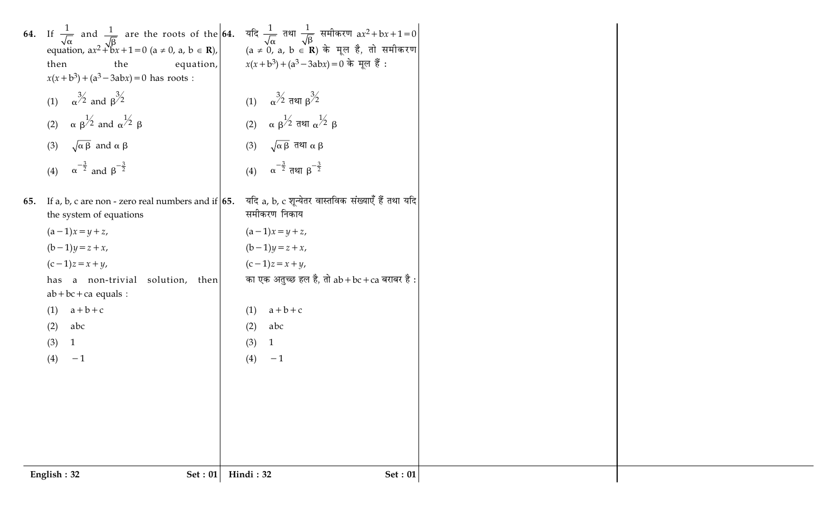|     | English: 32<br><b>Set: 01</b>                                                                                                                                                                                                                                                                | Hindi: 32                                                                                              | <b>Set: 01</b> |
|-----|----------------------------------------------------------------------------------------------------------------------------------------------------------------------------------------------------------------------------------------------------------------------------------------------|--------------------------------------------------------------------------------------------------------|----------------|
|     |                                                                                                                                                                                                                                                                                              |                                                                                                        |                |
|     |                                                                                                                                                                                                                                                                                              |                                                                                                        |                |
|     |                                                                                                                                                                                                                                                                                              |                                                                                                        |                |
|     |                                                                                                                                                                                                                                                                                              |                                                                                                        |                |
|     | (4)<br>$-1$                                                                                                                                                                                                                                                                                  | (4)<br>$-1$                                                                                            |                |
|     | abc<br>(2)<br>(3)<br>1                                                                                                                                                                                                                                                                       | abc<br>(2)<br>(3)                                                                                      |                |
|     | $(1)$ $a+b+c$                                                                                                                                                                                                                                                                                | $a+b+c$<br>(1)                                                                                         |                |
|     | $ab + bc + ca$ equals :                                                                                                                                                                                                                                                                      |                                                                                                        |                |
|     | $(c-1)z = x + y$ ,<br>has a non-trivial solution, then                                                                                                                                                                                                                                       | $(c-1)z = x + y$ ,<br>का एक अतुच्छ हल है, तो $ab + bc + ca$ बराबर है:                                  |                |
|     | $(b-1)y = z + x$ ,                                                                                                                                                                                                                                                                           | $(b-1)y = z + x$ ,                                                                                     |                |
|     | $(a-1)x = y + z$ ,                                                                                                                                                                                                                                                                           | $(a-1)x = y + z$ ,                                                                                     |                |
| 55. | If a, b, c are non - zero real numbers and if $\vert 65$ .<br>the system of equations                                                                                                                                                                                                        | यदि a, b, c शून्येतर वास्तविक संख्याएँ हैं तथा यदि<br>समीकरण निकाय                                     |                |
|     |                                                                                                                                                                                                                                                                                              |                                                                                                        |                |
|     | (3) $\sqrt{\alpha \beta}$ and $\alpha \beta$<br>(4) $\alpha^{-\frac{3}{2}}$ and $\beta^{-\frac{3}{2}}$                                                                                                                                                                                       | (3) $\sqrt{\alpha \beta}$ तथा $\alpha \beta$<br>(4) $\alpha^{-\frac{3}{2}}$ तथा $\beta^{-\frac{3}{2}}$ |                |
|     |                                                                                                                                                                                                                                                                                              |                                                                                                        |                |
|     | (2) $\alpha \beta^{1/2}$ and $\alpha^{1/2} \beta$                                                                                                                                                                                                                                            | (2) $\alpha \beta^{1/2}$ तथा $\alpha^{1/2} \beta$                                                      |                |
|     | (1) $\alpha^{3/2}$ and $\beta^{3/2}$                                                                                                                                                                                                                                                         | (1) $\alpha^{3/2}$ तथा $\beta^{3/2}$                                                                   |                |
|     | equation,<br>then<br>the<br>$x(x+b^3) + (a^3-3abx) = 0$ has roots :                                                                                                                                                                                                                          | $x(x+b^3) + (a^3-3abx) = 0$ के मूल हैं :                                                               |                |
|     |                                                                                                                                                                                                                                                                                              |                                                                                                        |                |
|     | 54. If $\frac{1}{\sqrt{\alpha}}$ and $\frac{1}{\sqrt{\beta}}$ are the roots of the 64. यदि $\frac{1}{\sqrt{\alpha}}$ तथा $\frac{1}{\sqrt{\beta}}$ समीकरण ax <sup>2</sup> +bx+1=0 equation, ax <sup>2</sup> +bx+1=0 (a ≠ 0, a, b ∈ <b>R</b> ), (a ≠ 0, a, b ∈ <b>R</b> ) के मूल है, तो समीकरण |                                                                                                        |                |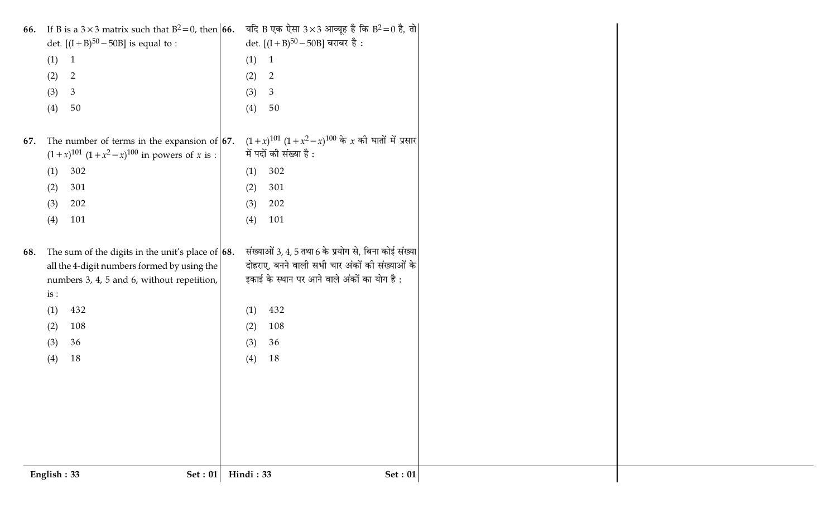| 66. | If B is a $3 \times 3$ matrix such that $B^2 = 0$ , then <b>66.</b>                                 | यदि B एक ऐसा $3 \times 3$ आव्यूह है कि B <sup>2</sup> =0 है, तो                   |  |
|-----|-----------------------------------------------------------------------------------------------------|-----------------------------------------------------------------------------------|--|
|     | det. $[(I + B)^{50} - 50B]$ is equal to :                                                           | det. $[(I + B)50 - 50B]$ बराबर है :                                               |  |
|     | (1) 1                                                                                               | (1)<br>$\overline{1}$                                                             |  |
|     | (2)<br>$\overline{2}$                                                                               | (2)<br>$\overline{2}$                                                             |  |
|     | $\mathfrak{Z}$<br>(3)                                                                               | (3)<br>$\mathfrak{Z}$                                                             |  |
|     | 50<br>(4)                                                                                           | (4)<br>50                                                                         |  |
|     |                                                                                                     |                                                                                   |  |
| 67. | The number of terms in the expansion of $67$ .<br>$(1+x)^{101} (1+x^2-x)^{100}$ in powers of x is : | $(1+x)^{101} (1+x^2-x)^{100}$ के x की घातों में प्रसार<br>में पदों की संख्या है : |  |
|     | 302<br>(1)                                                                                          | 302<br>(1)                                                                        |  |
|     | 301<br>(2)                                                                                          | (2)<br>301                                                                        |  |
|     | 202<br>(3)                                                                                          | 202<br>(3)                                                                        |  |
|     | 101<br>(4)                                                                                          | 101<br>(4)                                                                        |  |
|     |                                                                                                     |                                                                                   |  |
| 68. | The sum of the digits in the unit's place of $\vert 68$ .                                           | संख्याओं 3, 4, 5 तथा 6 के प्रयोग से, बिना कोई संख्या                              |  |
|     | all the 4-digit numbers formed by using the                                                         | दोहराए, बनने वाली सभी चार अंकों की संख्याओं के                                    |  |
|     | numbers 3, 4, 5 and 6, without repetition,                                                          | इकाई के स्थान पर आने वाले अंकों का योग है :                                       |  |
|     | is:                                                                                                 |                                                                                   |  |
|     | 432<br>(1)                                                                                          | 432<br>(1)                                                                        |  |
|     | 108<br>(2)                                                                                          | (2)<br>108                                                                        |  |
|     | 36<br>(3)                                                                                           | 36<br>(3)                                                                         |  |
|     | 18<br>(4)                                                                                           | 18<br>(4)                                                                         |  |
|     |                                                                                                     |                                                                                   |  |
|     |                                                                                                     |                                                                                   |  |
|     |                                                                                                     |                                                                                   |  |
|     |                                                                                                     |                                                                                   |  |
|     |                                                                                                     |                                                                                   |  |
|     |                                                                                                     |                                                                                   |  |
|     |                                                                                                     |                                                                                   |  |
|     | Set : 01<br>English: 33                                                                             | Hindi: 33<br><b>Set: 01</b>                                                       |  |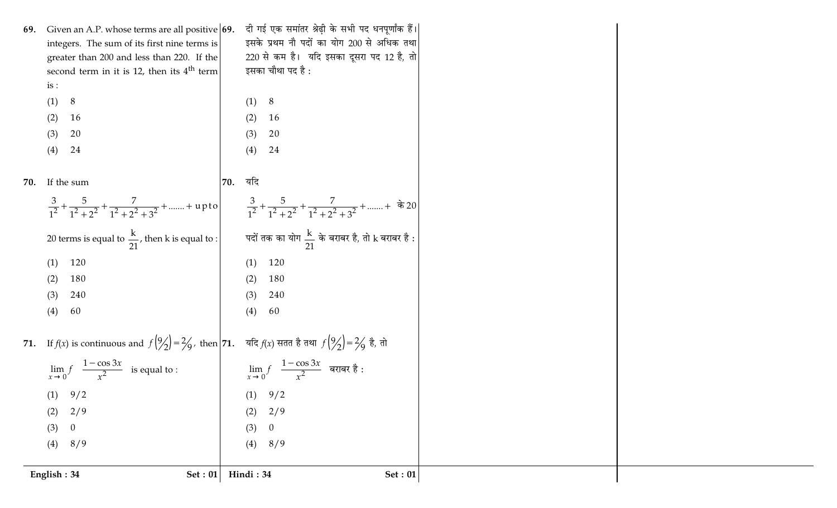|     | English: 34<br>Set : $01$                                                                                                                                                                                  | Hindi: 34  | Set: $01$                                         |  |
|-----|------------------------------------------------------------------------------------------------------------------------------------------------------------------------------------------------------------|------------|---------------------------------------------------|--|
|     | 8/9<br>(4)                                                                                                                                                                                                 | (4)        | 8/9                                               |  |
|     | (3)<br>$\theta$                                                                                                                                                                                            | (3)        | $\overline{0}$                                    |  |
| (2) | 2/9                                                                                                                                                                                                        | (2)        | 2/9                                               |  |
|     | 9/2<br>(1)                                                                                                                                                                                                 | (1)        | 9/2                                               |  |
|     | $\lim_{x\to 0} f\left(\frac{1-\cos 3x}{x^2}\right)$ is equal to : $\lim_{x\to 0} f\left(\frac{1-\cos 3x}{x^2}\right)$ बराबर है:                                                                            |            |                                                   |  |
|     | 71. If $f(x)$ is continuous and $f(\frac{9}{2}) = \frac{2}{9}$ , then $\left  71.$ यदि $f(x)$ सतत है तथा $f(\frac{9}{2}) = \frac{2}{9}$ है, तो                                                             |            |                                                   |  |
|     | 60<br>(4)                                                                                                                                                                                                  | (4)        | 60                                                |  |
|     | 240<br>(3)                                                                                                                                                                                                 | (3)        | 240                                               |  |
| (2) | 180                                                                                                                                                                                                        | (2)        | 180                                               |  |
|     | 120<br>(1)                                                                                                                                                                                                 | (1)        | 120                                               |  |
|     | 20 terms is equal to $\frac{k}{21}$ , then k is equal to : $\begin{vmatrix} 1 & 0 & 0 \\ 0 & 0 & 0 \\ 0 & 0 & 0 \end{vmatrix}$ and $\frac{k}{21}$ and all $\frac{k}{21}$ and all $k$ and all $k$ and $k$ : |            |                                                   |  |
|     | $\frac{3}{1^2} + \frac{5}{1^2 + 2^2} + \frac{7}{1^2 + 2^2 + 3^2} + \dots + \text{upto}$<br>$\frac{3}{1^2} + \frac{5}{1^2 + 2^2} + \frac{7}{1^2 + 2^2 + 3^2} + \dots + \text{ } \frac{3}{1^2}$              |            |                                                   |  |
| 70. | If the sum                                                                                                                                                                                                 | यदि<br>70. |                                                   |  |
|     | 24<br>(4)                                                                                                                                                                                                  | (4)        | 24                                                |  |
| (3) | 20                                                                                                                                                                                                         | (3)        | 20                                                |  |
| (2) | 16                                                                                                                                                                                                         | (2)        | 16                                                |  |
|     | (1)<br>8                                                                                                                                                                                                   |            | (1) 8                                             |  |
|     | second term in it is 12, then its $4th$ term<br>is:                                                                                                                                                        |            | इसका चौथा पद है :                                 |  |
|     | greater than 200 and less than 220. If the                                                                                                                                                                 |            | 220 से कम है। यदि इसका दूसरा पद 12 है, तो         |  |
|     | integers. The sum of its first nine terms is                                                                                                                                                               |            | इसके प्रथम नौ पदों का योग 200 से अधिक तथा         |  |
| 69. | Given an A.P. whose terms are all positive $\vert 69. \vert$                                                                                                                                               |            | दी गई एक समांतर श्रेढ़ी के सभी पद धनपूर्णांक हैं। |  |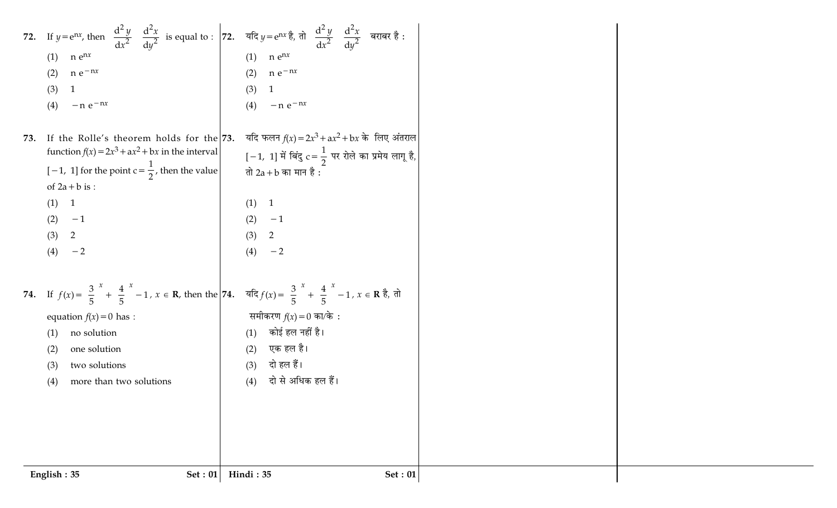|     | 72. If $y = e^{nx}$ , then $\left(\frac{d^2 y}{dx^2}\right) \left(\frac{d^2 x}{dy^2}\right)$ is equal to : $\left 72$ . यदि $y = e^{nx} \frac{3}{6}$ , तो $\left(\frac{d^2 y}{dx^2}\right) \left(\frac{d^2 x}{dy^2}\right)$ बराबर है :    |                                                                |                |  |  |
|-----|-------------------------------------------------------------------------------------------------------------------------------------------------------------------------------------------------------------------------------------------|----------------------------------------------------------------|----------------|--|--|
|     | $n e^{nx}$<br>(1)                                                                                                                                                                                                                         | $n e^{nx}$<br>(1)                                              |                |  |  |
|     | $n e^{-nx}$<br>(2)                                                                                                                                                                                                                        | $n e^{-nx}$<br>(2)                                             |                |  |  |
|     | (3)<br>$\mathbf{1}$                                                                                                                                                                                                                       | (3)<br>$\mathbf{1}$                                            |                |  |  |
|     | $-n e^{-nx}$<br>(4)                                                                                                                                                                                                                       | (4)<br>$-n e^{-nx}$                                            |                |  |  |
| 73. | If the Rolle's theorem holds for the 73.                                                                                                                                                                                                  | यदि फलन $f(x) = 2x^3 + ax^2 + bx$ के लिए अंतराल                |                |  |  |
|     | function $f(x) = 2x^3 + ax^2 + bx$ in the interval                                                                                                                                                                                        | [-1, 1] में बिंदु $c = \frac{1}{2}$ पर रोले का प्रमेय लागू है, |                |  |  |
|     | $[-1, 1]$ for the point $c = \frac{1}{2}$ , then the value                                                                                                                                                                                | तो 2a + b का मान है :                                          |                |  |  |
|     | of $2a + b$ is :                                                                                                                                                                                                                          |                                                                |                |  |  |
|     | (1)<br>$\overline{1}$                                                                                                                                                                                                                     | (1) 1                                                          |                |  |  |
|     | (2)<br>$-1$                                                                                                                                                                                                                               | (2)<br>$-1$                                                    |                |  |  |
|     | $\overline{2}$<br>(3)                                                                                                                                                                                                                     | (3)<br>2                                                       |                |  |  |
|     | (4)<br>$-2$                                                                                                                                                                                                                               | (4)<br>$-2$                                                    |                |  |  |
|     | 74. If $f(x) = \left(\frac{3}{5}\right)^x + \left(\frac{4}{5}\right)^x - 1$ , $x \in \mathbb{R}$ , then the 74. $\vec{f}(x) = \left(\frac{3}{5}\right)^x + \left(\frac{4}{5}\right)^x - 1$ , $x \in \mathbb{R}$ $\frac{3}{5}$ , $\vec{f}$ |                                                                |                |  |  |
|     | equation $f(x) = 0$ has :                                                                                                                                                                                                                 | समीकरण $f(x) = 0$ का/के :                                      |                |  |  |
|     | no solution<br>(1)                                                                                                                                                                                                                        | कोई हल नहीं है।<br>(1)                                         |                |  |  |
|     | one solution<br>(2)                                                                                                                                                                                                                       | एक हल है।<br>(2)                                               |                |  |  |
|     | two solutions<br>(3)                                                                                                                                                                                                                      | दो हल हैं।<br>(3)                                              |                |  |  |
|     | more than two solutions<br>(4)                                                                                                                                                                                                            | दो से अधिक हल हैं।<br>(4)                                      |                |  |  |
|     |                                                                                                                                                                                                                                           |                                                                |                |  |  |
|     |                                                                                                                                                                                                                                           |                                                                |                |  |  |
|     |                                                                                                                                                                                                                                           |                                                                |                |  |  |
|     |                                                                                                                                                                                                                                           |                                                                |                |  |  |
|     |                                                                                                                                                                                                                                           | Hindi: 35                                                      |                |  |  |
|     | English: 35<br><b>Set: 01</b>                                                                                                                                                                                                             |                                                                | <b>Set: 01</b> |  |  |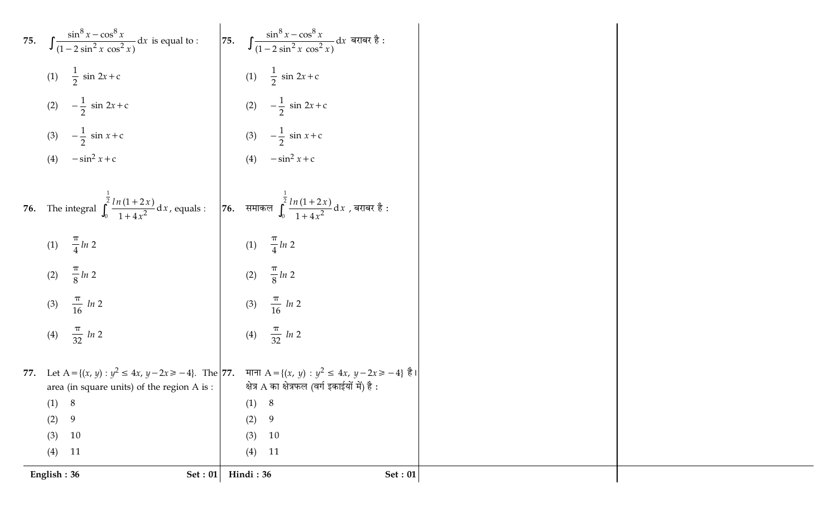75. 
$$
\int \frac{\sin^5 x - \cos^5 x}{(1 - 2 \sin^2 x \cos^2 x)} dx
$$
 is equal to:  
\n(1)  $\frac{1}{2} \sin 2x + c$   
\n(2)  $-\frac{1}{2} \sin 2x + c$   
\n(3)  $-\frac{1}{2} \sin x + c$   
\n(4)  $- \sin^2 x + c$   
\n(5. The integral  $\int_0^{\frac{\pi}{2}} \frac{ln(1 + 2x)}{1 + 4x^2} dx$ , equals:  
\n(1)  $\frac{\pi}{4} \ln 2$   
\n(2)  $\frac{\pi}{8} \ln 2$   
\n(3)  $\frac{\pi}{16} \ln 2$   
\n(4)  $-\frac{\pi}{2} \ln 2$   
\n(5)  $\frac{\pi}{8} \ln 2$   
\n(6)  $-\frac{1}{2} \sin x + c$   
\n(7)  $-\frac{\pi}{4} \ln 2$   
\n(8)  $\frac{\pi}{16} \ln 2$   
\n(9)  $\frac{\pi}{8} \ln 2$   
\n(1)  $\frac{\pi}{4} \ln 2$   
\n(2)  $\frac{\pi}{8} \ln 2$   
\n(3)  $\frac{\pi}{16} \ln 2$   
\n(4)  $\frac{\pi}{32} \ln 2$   
\n(5)  $\frac{\pi}{16} \ln 2$   
\n(6)  $\frac{\pi}{16} \ln 2$   
\n(7)  $\frac{\pi}{16} \ln 2$   
\n(8)  $\frac{\pi}{16} \ln 2$   
\n(9)  $\frac{\pi}{16} \ln 2$   
\n(1)  $\frac{\pi}{32} \ln 2$   
\n(2)  $\frac{\pi}{8} \ln 2$   
\n(3)  $\frac{\pi}{16} \ln 2$   
\n(4)  $\frac{\pi}{32} \ln 2$   
\n(5)  $\frac{\pi}{16} \ln 2$   
\n(6)  $\frac{\pi}{16} \ln 2$   
\n(7)  $\ln(\ln(\arcsin x) + \sin x) + \sin x = \$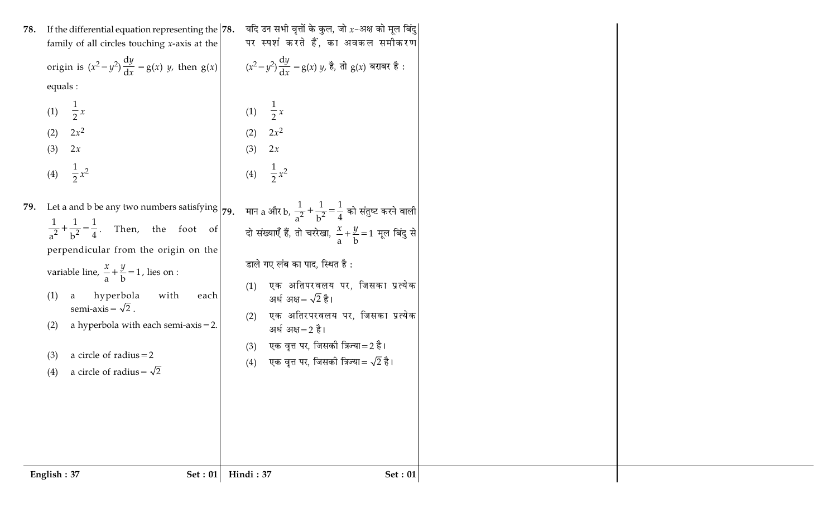| 78. | If the differential equation representing the $ 78$ .<br>family of all circles touching $x$ -axis at the                                                                                                                                                                                                                                                                                                                                                                                                  | यदि उन सभी वृत्तों के कुल, जो $x$ –अक्ष को मूल बिंदु<br>पर स्पर्श करते हैं, का अवकल समीकरण                                                                                                                                                                                                                                                      |  |
|-----|-----------------------------------------------------------------------------------------------------------------------------------------------------------------------------------------------------------------------------------------------------------------------------------------------------------------------------------------------------------------------------------------------------------------------------------------------------------------------------------------------------------|-------------------------------------------------------------------------------------------------------------------------------------------------------------------------------------------------------------------------------------------------------------------------------------------------------------------------------------------------|--|
|     | origin is $(x^2-y^2)\frac{dy}{dx} = g(x) y$ , then $g(x)$<br>equals :                                                                                                                                                                                                                                                                                                                                                                                                                                     | $(x^2-y^2)\frac{dy}{dx}=g(x)\ y$ , है, तो $g(x)$ बराबर है :                                                                                                                                                                                                                                                                                     |  |
|     | $\frac{1}{2}x$<br>(1)<br>$2x^2$<br>(2)<br>(3)<br>2x<br>(4) $\frac{1}{2}x^2$                                                                                                                                                                                                                                                                                                                                                                                                                               | (1) $\frac{1}{2}x$<br>$2x^2$<br>(2)<br>(3)<br>2x<br>$\frac{1}{2}x^2$<br>(4)                                                                                                                                                                                                                                                                     |  |
|     | 79. Let a and b be any two numbers satisfying 79. मान a और b, $\frac{1}{a^2} + \frac{1}{b^2} = \frac{1}{4}$ को संतुष्ट करने वाली<br>$rac{1}{a^2} + \frac{1}{b^2} = \frac{1}{4}$ . Then, the foot of<br>perpendicular from the origin on the<br>variable line, $\frac{x}{a} + \frac{y}{b} = 1$ , lies on :<br>a hyperbola<br>with<br>(1)<br>each<br>semi-axis = $\sqrt{2}$ .<br>a hyperbola with each semi-axis $= 2$ .<br>(2)<br>a circle of radius $=2$<br>(3)<br>a circle of radius = $\sqrt{2}$<br>(4) | दो संख्याएँ हैं, तो चररेखा, $\frac{x}{a} + \frac{y}{b} = 1$ मूल बिंदु से<br>डाले गए लंब का पाद, स्थित है :<br>एक अतिपरवलय पर, जिसका प्रत्येक<br>(1)<br>अर्ध अक्ष= $\sqrt{2}$ है।<br>एक अतिरपरवलय पर, जिसका प्रत्येक<br>(2)<br>अर्ध अक्ष=2 है।<br>एक वृत्त पर, जिसकी त्रिज्या=2 है।<br>(3)<br>एक वृत्त पर, जिसकी त्रिज्या= $\sqrt{2}$ है।<br>(4) |  |
|     | English: 37<br><b>Set: 01</b>                                                                                                                                                                                                                                                                                                                                                                                                                                                                             | Hindi: 37<br><b>Set: 01</b>                                                                                                                                                                                                                                                                                                                     |  |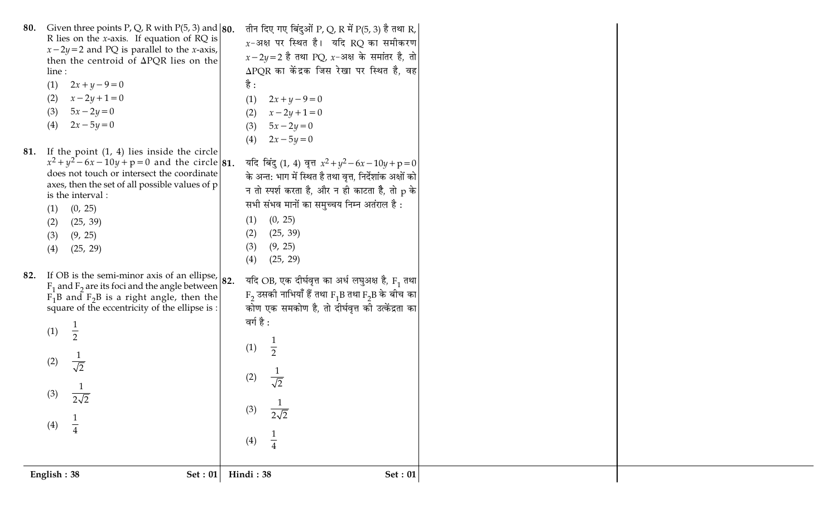|     | English: 38<br>Set : $01$                                                                                                                                                                                                                                                                                                                                                        | (4)<br>Hindi: 38<br>Set: 01                                                                                                                                                                                                                                                                                                                                                                        |  |
|-----|----------------------------------------------------------------------------------------------------------------------------------------------------------------------------------------------------------------------------------------------------------------------------------------------------------------------------------------------------------------------------------|----------------------------------------------------------------------------------------------------------------------------------------------------------------------------------------------------------------------------------------------------------------------------------------------------------------------------------------------------------------------------------------------------|--|
| 82. | If OB is the semi-minor axis of an ellipse, $ 82$ .<br>$F_1$ and $F_2$ are its foci and the angle between<br>$F_1B$ and $F_2B$ is a right angle, then the<br>square of the eccentricity of the ellipse is :<br>(1)<br>$\overline{2}$<br>$\frac{1}{\sqrt{2}}$<br>(2)<br>(3)<br>$\overline{2\sqrt{2}}$<br>$rac{1}{4}$<br>(4)                                                       | यदि OB, एक दीर्घवृत्त का अर्ध लघुअक्ष है, F <sub>1</sub> तथा<br>$F_2$ उसकी नाभियाँ हैं तथा $F_1B$ तथा $F_2B$ के बीच का <br>कोण एक समकोण है, तो दीर्घवृत्त की उत्केंद्रता का<br>वर्ग है :<br>(1)<br>(2)<br>$\overline{\sqrt{2}}$<br>(3)<br>$\overline{2\sqrt{2}}$                                                                                                                                   |  |
|     | $x - 2y + 1 = 0$<br>(2)<br>$5x - 2y = 0$<br>(3)<br>$2x - 5y = 0$<br>(4)<br>81. If the point $(1, 4)$ lies inside the circle<br>$x^2 + y^2 - 6x - 10y + p = 0$ and the circle 81.<br>does not touch or intersect the coordinate<br>axes, then the set of all possible values of $p$<br>is the interval:<br>(0, 25)<br>(1)<br>(25, 39)<br>(2)<br>(9, 25)<br>(3)<br>(25, 29)<br>(4) | $2x + y - 9 = 0$<br>(1)<br>$x - 2y + 1 = 0$<br>(2)<br>$5x - 2y = 0$<br>(3)<br>$2x - 5y = 0$<br>(4)<br>यदि बिंदु (1, 4) वृत्त $x^2 + y^2 - 6x - 10y + p = 0$<br>के अन्त: भाग में स्थित है तथा वृत्त, निर्देशांक अक्षों को<br>न तो स्पर्श करता है, और न ही काटता है, तो p के<br>सभी संभव मानों का समुच्चय निम्न अतंराल है:<br>(0, 25)<br>(1)<br>(25, 39)<br>(2)<br>(9, 25)<br>(3)<br>(4)<br>(25, 29) |  |
| 80. | Given three points P, Q, R with $P(5, 3)$ and $ 80$ .<br>R lies on the <i>x</i> -axis. If equation of RQ is<br>$x - 2y = 2$ and PQ is parallel to the <i>x</i> -axis,<br>then the centroid of $\Delta PQR$ lies on the<br>line :<br>$2x + y - 9 = 0$<br>(1)                                                                                                                      | तीन दिए गए बिंदुओं P, Q, R में P(5, 3) है तथा R,<br>$x$ -अक्ष पर स्थित है। यदि RQ का समीकरण<br>$x-2y=2$ है तथा PQ, x-अक्ष के समांतर है, तो<br>$\Delta$ PQR का केंद्रक जिस रेखा पर स्थित है, वह<br>है :                                                                                                                                                                                             |  |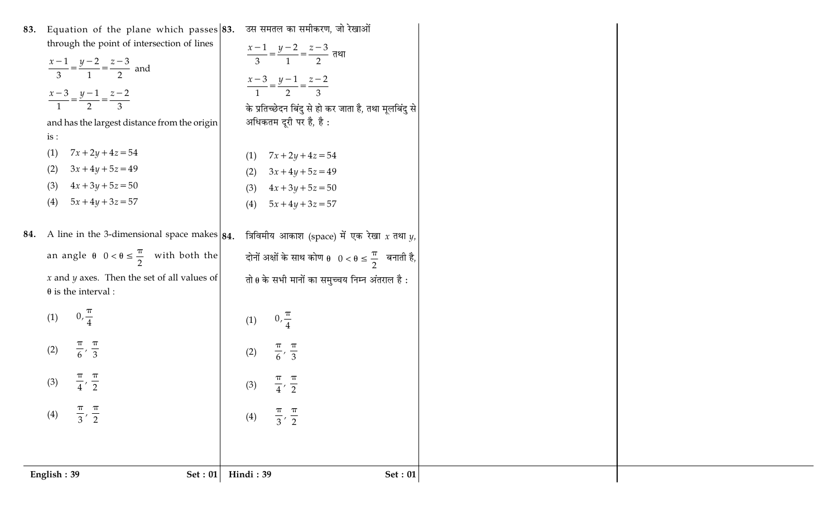| English: 39<br><b>Set: 01</b>                                             | Hindi: 39<br><b>Set: 01</b>                                                       |
|---------------------------------------------------------------------------|-----------------------------------------------------------------------------------|
|                                                                           |                                                                                   |
| $\left(\frac{\pi}{3},\frac{\pi}{2}\right)$<br>(4)                         | (4) $\left(\frac{\pi}{3}, \frac{\pi}{2}\right)$                                   |
| (3) $\left[\frac{\pi}{4},\frac{\pi}{2}\right]$                            | (3) $\left[\frac{\pi}{4},\frac{\pi}{2}\right]$                                    |
|                                                                           |                                                                                   |
| (2) $\left[\frac{\pi}{6},\frac{\pi}{3}\right]$                            | (2) $\left[\frac{\pi}{6},\frac{\pi}{3}\right]$                                    |
| (1) $\left(0, \frac{\pi}{4}\right)$                                       | (1) $\left(0, \frac{\pi}{4}\right)$                                               |
| $\theta$ is the interval :                                                |                                                                                   |
| $x$ and $y$ axes. Then the set of all values of                           | तो $\theta$ के सभी मानों का समुच्चय निम्न अंतराल है:                              |
| an angle $\theta\left(0 < \theta \leq \frac{\pi}{2}\right)$ with both the | दोनों अक्षों के साथ कोण $\theta\left(0<\theta\leq \frac{\pi}{2}\right)$ बनाती है, |
| 34. A line in the 3-dimensional space makes $ 84.$                        | त्रिविमीय आकाश (space) में एक रेखा $x$ तथा $y$ ,                                  |
| $5x + 4y + 3z = 57$<br>(4)                                                | $5x + 4y + 3z = 57$<br>(4)                                                        |
| $4x + 3y + 5z = 50$<br>(3)                                                | $4x + 3y + 5z = 50$<br>(3)                                                        |
| (1)<br>$7x + 2y + 4z = 54$<br>$3x + 4y + 5z = 49$<br>(2)                  | $7x + 2y + 4z = 54$<br>(1)<br>$3x + 4y + 5z = 49$<br>(2)                          |
| is:                                                                       |                                                                                   |
| and has the largest distance from the origin                              | अधिकतम दूरी पर है, है:                                                            |
| $\frac{x-3}{1} = \frac{y-1}{2} = \frac{z-2}{3}$                           | के प्रतिच्छेदन बिंदु से हो कर जाता है, तथा मूलबिंदु से                            |
|                                                                           | $\frac{x-3}{1} = \frac{y-1}{2} = \frac{z-2}{3}$                                   |
| $rac{x-1}{3} = \frac{y-2}{1} = \frac{z-3}{2}$ and                         | $\frac{x-1}{3} = \frac{y-2}{1} = \frac{z-3}{2}$ तथा                               |
| through the point of intersection of lines                                |                                                                                   |
| 33. Equation of the plane which passes $ 83$ .                            | उस समतल का समीकरण, जो रेखाओं                                                      |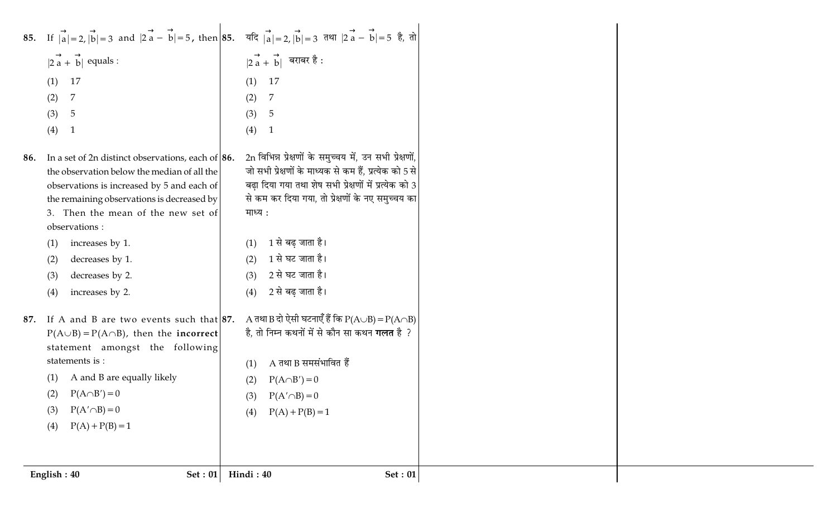| (3)<br>(4) | $P(A' \cap B) = 0$<br>$P(A) + P(B) = 1$                                                                   |                                                                                                                                                                                      |
|------------|-----------------------------------------------------------------------------------------------------------|--------------------------------------------------------------------------------------------------------------------------------------------------------------------------------------|
|            |                                                                                                           |                                                                                                                                                                                      |
|            |                                                                                                           |                                                                                                                                                                                      |
|            |                                                                                                           |                                                                                                                                                                                      |
|            |                                                                                                           | $P(A) + P(B) = 1$<br>(4)                                                                                                                                                             |
|            | (2) $P(A \cap B') = 0$                                                                                    | (3) $P(A' \cap B) = 0$                                                                                                                                                               |
| (1)        | A and B are equally likely                                                                                | $P(A \cap B') = 0$<br>(2)                                                                                                                                                            |
|            | statement amongst the following<br>statements is :                                                        | $A$ तथा B समसंभावित हैं<br>(1)                                                                                                                                                       |
|            | $P(A \cup B) = P(A \cap B)$ , then the <b>incorrect</b>                                                   | है, तो निम्न कथनों में से कौन सा कथन <b>गलत</b> है ?                                                                                                                                 |
| 87.        | If A and B are two events such that $ 87$ .                                                               | A तथा B दो ऐसी घटनाएँ हैं कि P(A $\cup$ B) = P(A $\cap$ B)                                                                                                                           |
| (4)        | increases by 2.                                                                                           | 2 से बढ़ जाता है।<br>(4)                                                                                                                                                             |
| (3)        | decreases by 2.                                                                                           | 2 से घट जाता है।<br>(3)                                                                                                                                                              |
| (2)        | decreases by 1.                                                                                           | 1 से घट जाता है।<br>(2)                                                                                                                                                              |
| (1)        | increases by 1.                                                                                           | 1 से बढ़ जाता है।<br>(1)                                                                                                                                                             |
|            | observations :                                                                                            |                                                                                                                                                                                      |
|            | 3. Then the mean of the new set of                                                                        | माध्य :                                                                                                                                                                              |
|            | the remaining observations is decreased by                                                                | से कम कर दिया गया, तो प्रेक्षणों के नए समुच्चय का                                                                                                                                    |
|            | observations is increased by 5 and each of                                                                | बढ़ा दिया गया तथा शेष सभी प्रेक्षणों में प्रत्येक को 3                                                                                                                               |
| 86.        | In a set of 2n distinct observations, each of $\vert 86$ .<br>the observation below the median of all the | 2n विभिन्न प्रेक्षणों के समुच्चय में, उन सभी प्रेक्षणों,<br>जो सभी प्रेक्षणों के माध्यक से कम हैं, प्रत्येक को 5 से                                                                  |
|            |                                                                                                           |                                                                                                                                                                                      |
| (4)        | $\mathbf{1}$                                                                                              | (4)<br>$\mathbf{1}$                                                                                                                                                                  |
| (3)        | $\overline{5}$                                                                                            | (3)<br>$\overline{5}$                                                                                                                                                                |
| (2)        | 7                                                                                                         | (2)<br>7                                                                                                                                                                             |
| (1)        | 17                                                                                                        | 17<br>(1)                                                                                                                                                                            |
|            |                                                                                                           | $ 2\overrightarrow{a}+\overrightarrow{b} $ बराबर है:                                                                                                                                 |
|            |                                                                                                           |                                                                                                                                                                                      |
|            |                                                                                                           |                                                                                                                                                                                      |
|            |                                                                                                           | 85. If $ a =2$ , $ b =3$ and $ 2a-b =5$ , then 85. $\vec{a} a =2$ , $ b =3$ $\vec{a}$ and $ 2a-b =5$ $\vec{a}$ , $\vec{a} $<br>$ 2\overrightarrow{a} + \overrightarrow{b} $ equals : |